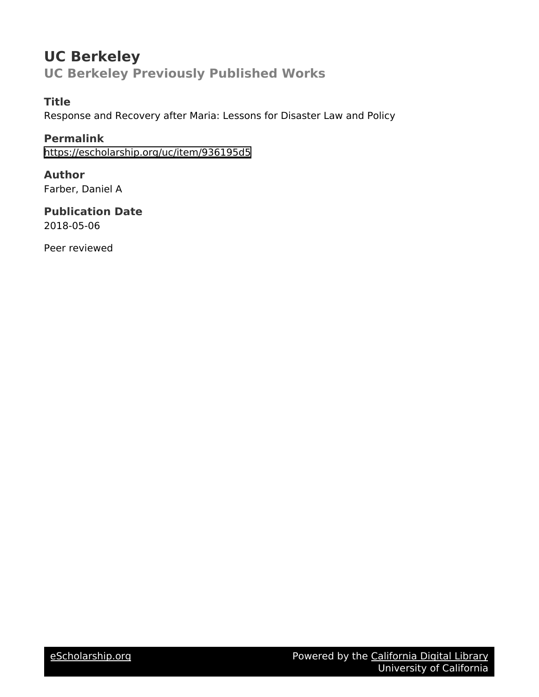# **UC Berkeley UC Berkeley Previously Published Works**

# **Title**

Response and Recovery after Maria: Lessons for Disaster Law and Policy

**Permalink** <https://escholarship.org/uc/item/936195d5>

**Author** Farber, Daniel A

**Publication Date** 2018-05-06

Peer reviewed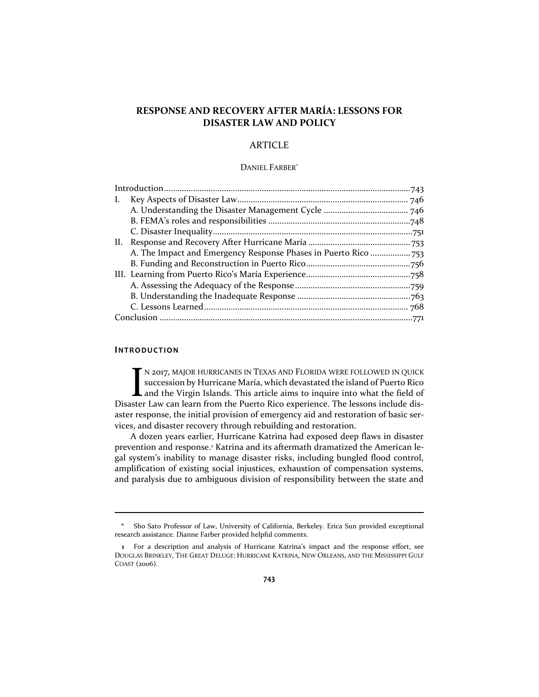# **RESPONSE AND RECOVERY AFTER MARÍA: LESSONS FOR DISASTER LAW AND POLICY**

# ARTICLE

#### DANIEL FARBER\*

| Ι.  |  |
|-----|--|
|     |  |
|     |  |
|     |  |
| II. |  |
|     |  |
|     |  |
|     |  |
|     |  |
|     |  |
|     |  |
|     |  |

## **INTR O D U CT ION**

N 2017, MAJOR HURRICANES IN TEXAS AND FLORIDA WERE FOLLOWED IN QUICK succession by Hurricane María, which devastated the island of Puerto Rico and the Virgin Islands. This article aims to inquire into what the field of Disaster Law can learn from the Puerto Rico experience. The lessons include disaster response, the initial provision of emergency aid and restoration of basic services, and disaster recovery through rebuilding and restoration. I<br>ster

A dozen years earlier, Hurricane Katrina had exposed deep flaws in disaster prevention and response.<sup>1</sup> Katrina and its aftermath dramatized the American legal system's inability to manage disaster risks, including bungled flood control, amplification of existing social injustices, exhaustion of compensation systems, and paralysis due to ambiguous division of responsibility between the state and

**<sup>\*</sup>** Sho Sato Professor of Law, University of California, Berkeley. Erica Sun provided exceptional research assistance. Dianne Farber provided helpful comments.

**<sup>1</sup>** For a description and analysis of Hurricane Katrina's impact and the response effort, see DOUGLAS BRINKLEY, THE GREAT DELUGE: HURRICANE KATRINA, NEW ORLEANS, AND THE MISSISSIPPI GULF COAST (2006).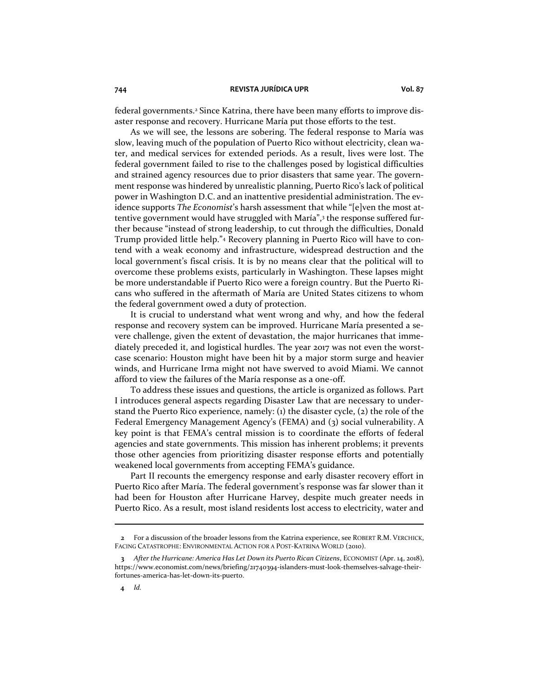federal governments.<sup>2</sup> Since Katrina, there have been many efforts to improve disaster response and recovery. Hurricane María put those efforts to the test.

As we will see, the lessons are sobering. The federal response to María was slow, leaving much of the population of Puerto Rico without electricity, clean water, and medical services for extended periods. As a result, lives were lost. The federal government failed to rise to the challenges posed by logistical difficulties and strained agency resources due to prior disasters that same year. The government response was hindered by unrealistic planning, Puerto Rico's lack of political power in Washington D.C. and an inattentive presidential administration. The evidence supports *The Economist*'s harsh assessment that while "[e]ven the most attentive government would have struggled with María",<sup>3</sup> the response suffered further because "instead of strong leadership, to cut through the difficulties, Donald Trump provided little help."<sup>4</sup> Recovery planning in Puerto Rico will have to contend with a weak economy and infrastructure, widespread destruction and the local government's fiscal crisis. It is by no means clear that the political will to overcome these problems exists, particularly in Washington. These lapses might be more understandable if Puerto Rico were a foreign country. But the Puerto Ricans who suffered in the aftermath of María are United States citizens to whom the federal government owed a duty of protection.

It is crucial to understand what went wrong and why, and how the federal response and recovery system can be improved. Hurricane María presented a severe challenge, given the extent of devastation, the major hurricanes that immediately preceded it, and logistical hurdles. The year 2017 was not even the worstcase scenario: Houston might have been hit by a major storm surge and heavier winds, and Hurricane Irma might not have swerved to avoid Miami. We cannot afford to view the failures of the María response as a one-off.

To address these issues and questions, the article is organized as follows. Part I introduces general aspects regarding Disaster Law that are necessary to understand the Puerto Rico experience, namely: (1) the disaster cycle, (2) the role of the Federal Emergency Management Agency's (FEMA) and (3) social vulnerability. A key point is that FEMA's central mission is to coordinate the efforts of federal agencies and state governments. This mission has inherent problems; it prevents those other agencies from prioritizing disaster response efforts and potentially weakened local governments from accepting FEMA's guidance.

Part II recounts the emergency response and early disaster recovery effort in Puerto Rico after María. The federal government's response was far slower than it had been for Houston after Hurricane Harvey, despite much greater needs in Puerto Rico. As a result, most island residents lost access to electricity, water and

**<sup>2</sup>** For a discussion of the broader lessons from the Katrina experience, see ROBERT R.M. VERCHICK, FACING CATASTROPHE: ENVIRONMENTAL ACTION FOR A POST-KATRINA WORLD (2010).

**<sup>3</sup>** *After the Hurricane: America Has Let Down its Puerto Rican Citizens*, ECONOMIST (Apr. 14, 2018), https://www.economist.com/news/briefing/21740394-islanders-must-look-themselves-salvage-theirfortunes-america-has-let-down-its-puerto.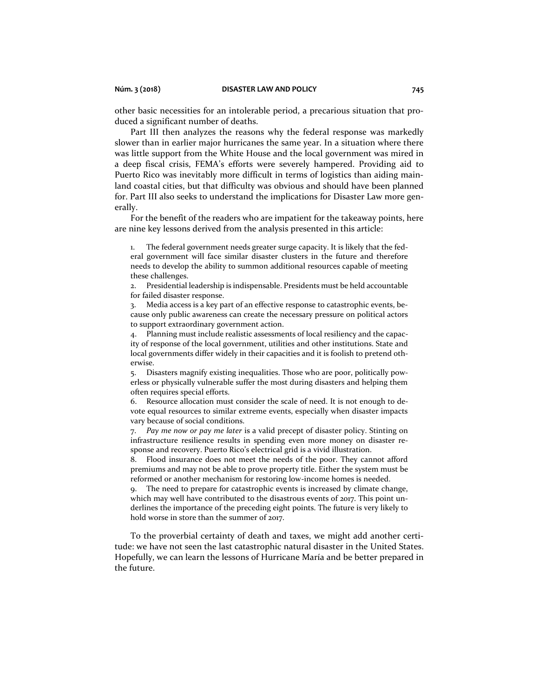other basic necessities for an intolerable period, a precarious situation that produced a significant number of deaths.

Part III then analyzes the reasons why the federal response was markedly slower than in earlier major hurricanes the same year. In a situation where there was little support from the White House and the local government was mired in a deep fiscal crisis, FEMA's efforts were severely hampered. Providing aid to Puerto Rico was inevitably more difficult in terms of logistics than aiding mainland coastal cities, but that difficulty was obvious and should have been planned for. Part III also seeks to understand the implications for Disaster Law more generally.

For the benefit of the readers who are impatient for the takeaway points, here are nine key lessons derived from the analysis presented in this article:

1. The federal government needs greater surge capacity. It is likely that the federal government will face similar disaster clusters in the future and therefore needs to develop the ability to summon additional resources capable of meeting these challenges.

2. Presidential leadership is indispensable. Presidents must be held accountable for failed disaster response.

3. Media access is a key part of an effective response to catastrophic events, because only public awareness can create the necessary pressure on political actors to support extraordinary government action.

4. Planning must include realistic assessments of local resiliency and the capacity of response of the local government, utilities and other institutions. State and local governments differ widely in their capacities and it is foolish to pretend otherwise.

5. Disasters magnify existing inequalities. Those who are poor, politically powerless or physically vulnerable suffer the most during disasters and helping them often requires special efforts.

6. Resource allocation must consider the scale of need. It is not enough to devote equal resources to similar extreme events, especially when disaster impacts vary because of social conditions.

7. *Pay me now or pay me later* is a valid precept of disaster policy. Stinting on infrastructure resilience results in spending even more money on disaster response and recovery. Puerto Rico's electrical grid is a vivid illustration.

8. Flood insurance does not meet the needs of the poor. They cannot afford premiums and may not be able to prove property title. Either the system must be reformed or another mechanism for restoring low-income homes is needed.

9. The need to prepare for catastrophic events is increased by climate change, which may well have contributed to the disastrous events of 2017. This point underlines the importance of the preceding eight points. The future is very likely to hold worse in store than the summer of 2017.

To the proverbial certainty of death and taxes, we might add another certitude: we have not seen the last catastrophic natural disaster in the United States. Hopefully, we can learn the lessons of Hurricane María and be better prepared in the future.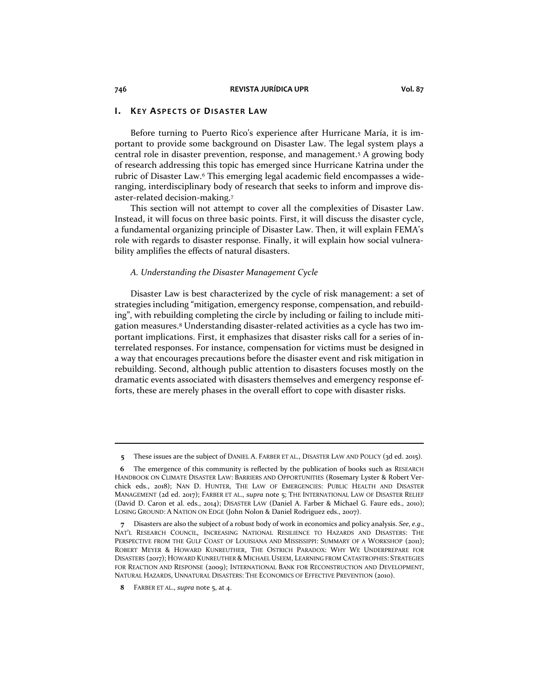#### **I. KE Y ASP E C TS O F DIS A ST E R LAW**

Before turning to Puerto Rico's experience after Hurricane María, it is important to provide some background on Disaster Law. The legal system plays a central role in disaster prevention, response, and management.<sup>5</sup> A growing body of research addressing this topic has emerged since Hurricane Katrina under the rubric of Disaster Law.<sup>6</sup> This emerging legal academic field encompasses a wideranging, interdisciplinary body of research that seeks to inform and improve disaster-related decision-making.<sup>7</sup>

This section will not attempt to cover all the complexities of Disaster Law. Instead, it will focus on three basic points. First, it will discuss the disaster cycle, a fundamental organizing principle of Disaster Law. Then, it will explain FEMA's role with regards to disaster response. Finally, it will explain how social vulnerability amplifies the effects of natural disasters.

#### *A. Understanding the Disaster Management Cycle*

Disaster Law is best characterized by the cycle of risk management: a set of strategies including "mitigation, emergency response, compensation, and rebuilding", with rebuilding completing the circle by including or failing to include mitigation measures.<sup>8</sup> Understanding disaster-related activities as a cycle has two important implications. First, it emphasizes that disaster risks call for a series of interrelated responses. For instance, compensation for victims must be designed in a way that encourages precautions before the disaster event and risk mitigation in rebuilding. Second, although public attention to disasters focuses mostly on the dramatic events associated with disasters themselves and emergency response efforts, these are merely phases in the overall effort to cope with disaster risks.

**<sup>5</sup>** These issues are the subject of DANIEL A. FARBER ET AL., DISASTER LAW AND POLICY (3d ed. 2015).

**<sup>6</sup>** The emergence of this community is reflected by the publication of books such as RESEARCH HANDBOOK ON CLIMATE DISASTER LAW: BARRIERS AND OPPORTUNITIES (Rosemary Lyster & Robert Verchick eds., 2018); NAN D. HUNTER, THE LAW OF EMERGENCIES: PUBLIC HEALTH AND DISASTER MANAGEMENT (2d ed. 2017); FARBER ET AL., *supra* note 5; THE INTERNATIONAL LAW OF DISASTER RELIEF (David D. Caron et al. eds., 2014); DISASTER LAW (Daniel A. Farber & Michael G. Faure eds., 2010); LOSING GROUND: A NATION ON EDGE (John Nolon & Daniel Rodriguez eds., 2007).

**<sup>7</sup>** Disasters are also the subject of a robust body of work in economics and policy analysis. *See*, *e.g*., NAT'L RESEARCH COUNCIL, INCREASING NATIONAL RESILIENCE TO HAZARDS AND DISASTERS: THE PERSPECTIVE FROM THE GULF COAST OF LOUISIANA AND MISSISSIPPI: SUMMARY OF A WORKSHOP (2011); ROBERT MEYER & HOWARD KUNREUTHER, THE OSTRICH PARADOX: WHY WE UNDERPREPARE FOR DISASTERS (2017); HOWARD KUNREUTHER & MICHAEL USEEM, LEARNING FROM CATASTROPHES: STRATEGIES FOR REACTION AND RESPONSE (2009); INTERNATIONAL BANK FOR RECONSTRUCTION AND DEVELOPMENT, NATURAL HAZARDS, UNNATURAL DISASTERS: THE ECONOMICS OF EFFECTIVE PREVENTION (2010).

**<sup>8</sup>** FARBER ET AL., *supra* note 5, at 4.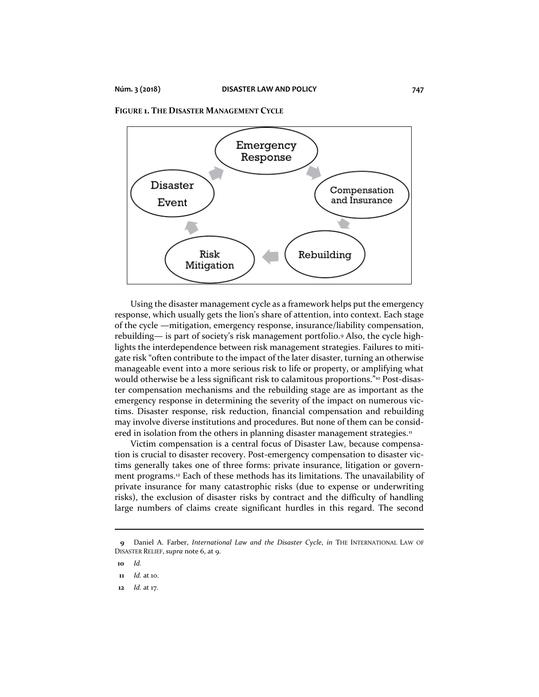



Using the disaster management cycle as a framework helps put the emergency response, which usually gets the lion's share of attention, into context. Each stage of the cycle —mitigation, emergency response, insurance/liability compensation, rebuilding— is part of society's risk management portfolio.<sup>9</sup> Also, the cycle highlights the interdependence between risk management strategies. Failures to mitigate risk "often contribute to the impact of the later disaster, turning an otherwise manageable event into a more serious risk to life or property, or amplifying what would otherwise be a less significant risk to calamitous proportions."<sup>10</sup> Post-disaster compensation mechanisms and the rebuilding stage are as important as the emergency response in determining the severity of the impact on numerous victims. Disaster response, risk reduction, financial compensation and rebuilding may involve diverse institutions and procedures. But none of them can be considered in isolation from the others in planning disaster management strategies.<sup>11</sup>

Victim compensation is a central focus of Disaster Law, because compensation is crucial to disaster recovery. Post-emergency compensation to disaster victims generally takes one of three forms: private insurance, litigation or government programs.<sup>12</sup> Each of these methods has its limitations. The unavailability of private insurance for many catastrophic risks (due to expense or underwriting risks), the exclusion of disaster risks by contract and the difficulty of handling large numbers of claims create significant hurdles in this regard. The second

**<sup>9</sup>** Daniel A. Farber, *International Law and the Disaster Cycle*, *in* THE INTERNATIONAL LAW OF DISASTER RELIEF, *supra* note 6, at 9.

**<sup>10</sup>** *Id.*

**<sup>11</sup>** *Id.* at 10.

**<sup>12</sup>** *Id.* at 17.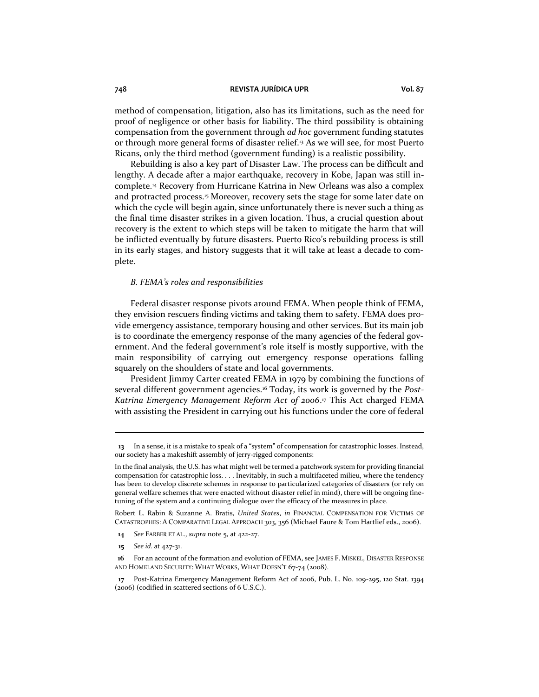method of compensation, litigation, also has its limitations, such as the need for proof of negligence or other basis for liability. The third possibility is obtaining compensation from the government through *ad hoc* government funding statutes or through more general forms of disaster relief.<sup>13</sup> As we will see, for most Puerto Ricans, only the third method (government funding) is a realistic possibility.

Rebuilding is also a key part of Disaster Law. The process can be difficult and lengthy. A decade after a major earthquake, recovery in Kobe, Japan was still incomplete.<sup>14</sup> Recovery from Hurricane Katrina in New Orleans was also a complex and protracted process.<sup>15</sup> Moreover, recovery sets the stage for some later date on which the cycle will begin again, since unfortunately there is never such a thing as the final time disaster strikes in a given location. Thus, a crucial question about recovery is the extent to which steps will be taken to mitigate the harm that will be inflicted eventually by future disasters. Puerto Rico's rebuilding process is still in its early stages, and history suggests that it will take at least a decade to complete.

#### *B. FEMA's roles and responsibilities*

Federal disaster response pivots around FEMA. When people think of FEMA, they envision rescuers finding victims and taking them to safety. FEMA does provide emergency assistance, temporary housing and other services. But its main job is to coordinate the emergency response of the many agencies of the federal government. And the federal government's role itself is mostly supportive, with the main responsibility of carrying out emergency response operations falling squarely on the shoulders of state and local governments.

President Jimmy Carter created FEMA in 1979 by combining the functions of several different government agencies.<sup>16</sup> Today, its work is governed by the *Post-Katrina Emergency Management Reform Act of 2006*. <sup>17</sup> This Act charged FEMA with assisting the President in carrying out his functions under the core of federal

Robert L. Rabin & Suzanne A. Bratis, *United States*, *in* FINANCIAL COMPENSATION FOR VICTIMS OF CATASTROPHES: A COMPARATIVE LEGAL APPROACH 303, 356 (Michael Faure & Tom Hartlief eds., 2006).

- **14** *See* FARBER ET AL., *supra* note 5, at 422-27.
- **15** *See id.* at 427-31.

**<sup>13</sup>** In a sense, it is a mistake to speak of a "system" of compensation for catastrophic losses. Instead, our society has a makeshift assembly of jerry-rigged components:

In the final analysis, the U.S. has what might well be termed a patchwork system for providing financial compensation for catastrophic loss. . . . Inevitably, in such a multifaceted milieu, where the tendency has been to develop discrete schemes in response to particularized categories of disasters (or rely on general welfare schemes that were enacted without disaster relief in mind), there will be ongoing finetuning of the system and a continuing dialogue over the efficacy of the measures in place.

**<sup>16</sup>** For an account of the formation and evolution of FEMA, see JAMES F. MISKEL, DISASTER RESPONSE AND HOMELAND SECURITY: WHAT WORKS, WHAT DOESN'T 67-74 (2008).

**<sup>17</sup>** Post-Katrina Emergency Management Reform Act of 2006, Pub. L. No. 109-295, 120 Stat. 1394 (2006) (codified in scattered sections of 6 U.S.C.).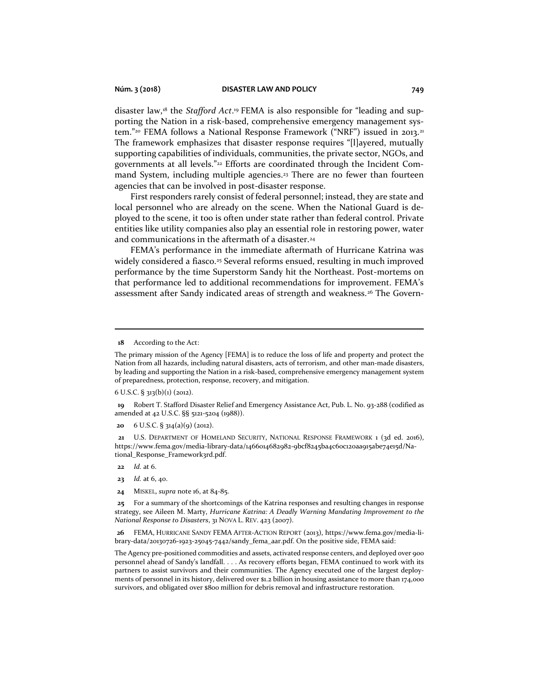disaster law,<sup>18</sup> the *Stafford Act*. <sup>19</sup> FEMA is also responsible for "leading and supporting the Nation in a risk-based, comprehensive emergency management system."<sup>20</sup> FEMA follows a National Response Framework ("NRF") issued in 2013.<sup>21</sup> The framework emphasizes that disaster response requires "[l]ayered, mutually supporting capabilities of individuals, communities, the private sector, NGOs, and governments at all levels."<sup>22</sup> Efforts are coordinated through the Incident Command System, including multiple agencies.<sup>23</sup> There are no fewer than fourteen agencies that can be involved in post-disaster response.

First responders rarely consist of federal personnel; instead, they are state and local personnel who are already on the scene. When the National Guard is deployed to the scene, it too is often under state rather than federal control. Private entities like utility companies also play an essential role in restoring power, water and communications in the aftermath of a disaster.<sup>24</sup>

FEMA's performance in the immediate aftermath of Hurricane Katrina was widely considered a fiasco.<sup>25</sup> Several reforms ensued, resulting in much improved performance by the time Superstorm Sandy hit the Northeast. Post-mortems on that performance led to additional recommendations for improvement. FEMA's assessment after Sandy indicated areas of strength and weakness.<sup>26</sup> The Govern-

 $6$  U.S.C. § 313(b)(1) (2012).

- **23** *Id.* at 6, 40.
- **24** MISKEL, *supra* note 16, at 84-85.

**<sup>18</sup>** According to the Act:

The primary mission of the Agency [FEMA] is to reduce the loss of life and property and protect the Nation from all hazards, including natural disasters, acts of terrorism, and other man-made disasters, by leading and supporting the Nation in a risk-based, comprehensive emergency management system of preparedness, protection, response, recovery, and mitigation.

**<sup>19</sup>** Robert T. Stafford Disaster Relief and Emergency Assistance Act, Pub. L. No. 93-288 (codified as amended at 42 U.S.C. §§ 5121-5204 (1988)).

**<sup>20</sup>** 6 U.S.C. § 314(a)(9) (2012).

**<sup>21</sup>** U.S. DEPARTMENT OF HOMELAND SECURITY, NATIONAL RESPONSE FRAMEWORK 1 (3d ed. 2016), https://www.fema.gov/media-library-data/1466014682982-9bcf8245ba4c60c120aa915abe74e15d/National\_Response\_Framework3rd.pdf.

**<sup>22</sup>** *Id.* at 6.

**<sup>25</sup>** For a summary of the shortcomings of the Katrina responses and resulting changes in response strategy, see Aileen M. Marty, *Hurricane Katrina: A Deadly Warning Mandating Improvement to the National Response to Disasters*, 31 NOVA L. REV. 423 (2007).

**<sup>26</sup>** FEMA, HURRICANE SANDY FEMA AFTER-ACTION REPORT (2013), https://www.fema.gov/media-library-data/20130726-1923-25045-7442/sandy\_fema\_aar.pdf. On the positive side, FEMA said:

The Agency pre-positioned commodities and assets, activated response centers, and deployed over 900 personnel ahead of Sandy's landfall. . . . As recovery efforts began, FEMA continued to work with its partners to assist survivors and their communities. The Agency executed one of the largest deployments of personnel in its history, delivered over \$1.2 billion in housing assistance to more than 174,000 survivors, and obligated over \$800 million for debris removal and infrastructure restoration.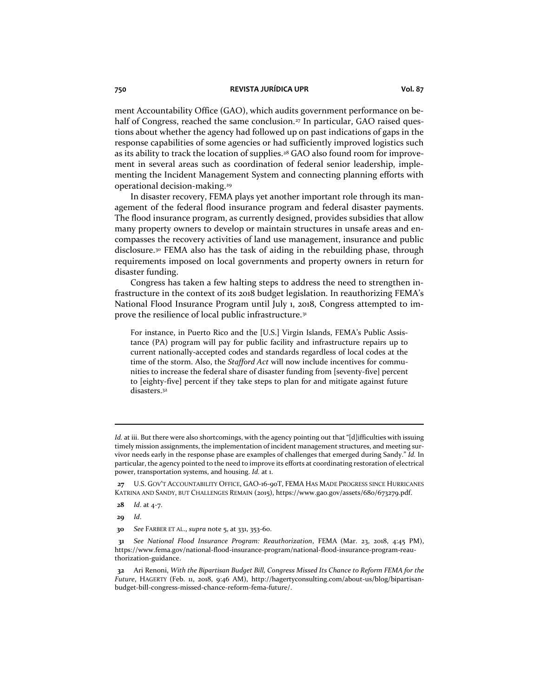ment Accountability Office (GAO), which audits government performance on behalf of Congress, reached the same conclusion.<sup>27</sup> In particular, GAO raised questions about whether the agency had followed up on past indications of gaps in the response capabilities of some agencies or had sufficiently improved logistics such as its ability to track the location of supplies.<sup>28</sup> GAO also found room for improvement in several areas such as coordination of federal senior leadership, implementing the Incident Management System and connecting planning efforts with operational decision-making.<sup>29</sup>

In disaster recovery, FEMA plays yet another important role through its management of the federal flood insurance program and federal disaster payments. The flood insurance program, as currently designed, provides subsidies that allow many property owners to develop or maintain structures in unsafe areas and encompasses the recovery activities of land use management, insurance and public disclosure.<sup>30</sup> FEMA also has the task of aiding in the rebuilding phase, through requirements imposed on local governments and property owners in return for disaster funding.

Congress has taken a few halting steps to address the need to strengthen infrastructure in the context of its 2018 budget legislation. In reauthorizing FEMA's National Flood Insurance Program until July 1, 2018, Congress attempted to improve the resilience of local public infrastructure.<sup>31</sup>

For instance, in Puerto Rico and the [U.S.] Virgin Islands, FEMA's Public Assistance (PA) program will pay for public facility and infrastructure repairs up to current nationally-accepted codes and standards regardless of local codes at the time of the storm. Also, the *Stafford Act* will now include incentives for communities to increase the federal share of disaster funding from [seventy-five] percent to [eighty-five] percent if they take steps to plan for and mitigate against future disasters.<sup>32</sup>

*Id.* at iii. But there were also shortcomings, with the agency pointing out that "[d]ifficulties with issuing timely mission assignments, the implementation of incident management structures, and meeting survivor needs early in the response phase are examples of challenges that emerged during Sandy." *Id.* In particular, the agency pointed to the need to improve its efforts at coordinating restoration of electrical power, transportation systems, and housing. *Id.* at 1.

**<sup>27</sup>** U.S. GOV'T ACCOUNTABILITY OFFICE, GAO-16-90T, FEMA HAS MADE PROGRESS SINCE HURRICANES KATRINA AND SANDY, BUT CHALLENGES REMAIN (2015), https://www.gao.gov/assets/680/673279.pdf.

**<sup>28</sup>** *Id*. at 4-7.

**<sup>30</sup>** *See* FARBER ET AL., *supra* note 5, at 331, 353-60.

**<sup>31</sup>** *See National Flood Insurance Program: Reauthorization*, FEMA (Mar. 23, 2018, 4:45 PM), https://www.fema.gov/national-flood-insurance-program/national-flood-insurance-program-reauthorization-guidance.

**<sup>32</sup>** Ari Renoni, *With the Bipartisan Budget Bill, Congress Missed Its Chance to Reform FEMA for the Future*, HAGERTY (Feb. 11, 2018, 9:46 AM), http://hagertyconsulting.com/about-us/blog/bipartisanbudget-bill-congress-missed-chance-reform-fema-future/.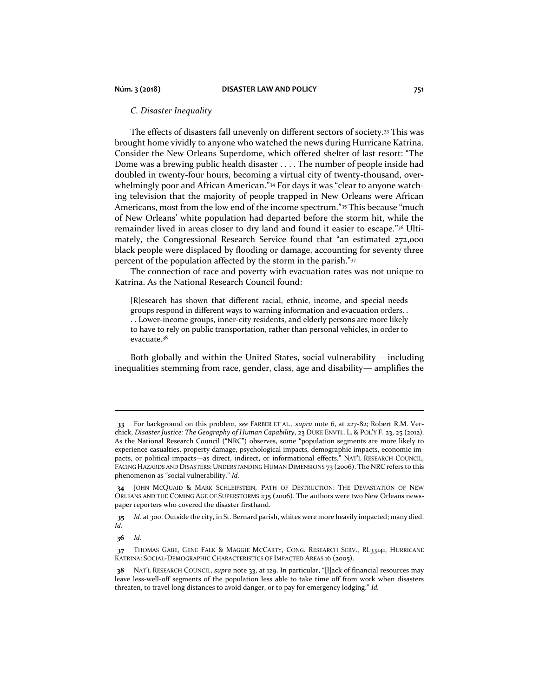## *C. Disaster Inequality*

The effects of disasters fall unevenly on different sectors of society.<sup>33</sup> This was brought home vividly to anyone who watched the news during Hurricane Katrina. Consider the New Orleans Superdome, which offered shelter of last resort: "The Dome was a brewing public health disaster . . . . The number of people inside had doubled in twenty-four hours, becoming a virtual city of twenty-thousand, overwhelmingly poor and African American."<sup>34</sup> For days it was "clear to anyone watching television that the majority of people trapped in New Orleans were African Americans, most from the low end of the income spectrum."<sup>35</sup> This because "much of New Orleans' white population had departed before the storm hit, while the remainder lived in areas closer to dry land and found it easier to escape."<sup>36</sup> Ultimately, the Congressional Research Service found that "an estimated 272,000 black people were displaced by flooding or damage, accounting for seventy three percent of the population affected by the storm in the parish."37

The connection of race and poverty with evacuation rates was not unique to Katrina. As the National Research Council found:

[R]esearch has shown that different racial, ethnic, income, and special needs groups respond in different ways to warning information and evacuation orders. . . . Lower-income groups, inner-city residents, and elderly persons are more likely to have to rely on public transportation, rather than personal vehicles, in order to evacuate.<sup>38</sup>

Both globally and within the United States, social vulnerability —including inequalities stemming from race, gender, class, age and disability— amplifies the

**<sup>33</sup>** For background on this problem, *see* FARBER ET AL*.*, *supra* note 6, at 227-82; Robert R.M. Verchick, *Disaster Justice: The Geography of Human Capability*, 23 DUKE ENVTL. L. & POL'Y F. 23, 25 (2012). As the National Research Council ("NRC") observes, some "population segments are more likely to experience casualties, property damage, psychological impacts, demographic impacts, economic impacts, or political impacts—as direct, indirect, or informational effects." NAT'L RESEARCH COUNCIL, FACING HAZARDS AND DISASTERS: UNDERSTANDING HUMAN DIMENSIONS 73 (2006). The NRC refers to this phenomenon as "social vulnerability." *Id.*

**<sup>34</sup>** JOHN MCQUAID & MARK SCHLEIFSTEIN, PATH OF DESTRUCTION: THE DEVASTATION OF NEW ORLEANS AND THE COMING AGE OF SUPERSTORMS 235 (2006). The authors were two New Orleans newspaper reporters who covered the disaster firsthand.

**<sup>35</sup>** *Id.* at 300. Outside the city, in St. Bernard parish, whites were more heavily impacted; many died. *Id.*

**<sup>37</sup>** THOMAS GABE, GENE FALK & MAGGIE MCCARTY, CONG. RESEARCH SERV., RL33141, HURRICANE KATRINA: SOCIAL-DEMOGRAPHIC CHARACTERISTICS OF IMPACTED AREAS 16 (2005).

**<sup>38</sup>** NAT'L RESEARCH COUNCIL, *supra* note 33, at 129. In particular, "[l]ack of financial resources may leave less-well-off segments of the population less able to take time off from work when disasters threaten, to travel long distances to avoid danger, or to pay for emergency lodging." *Id.*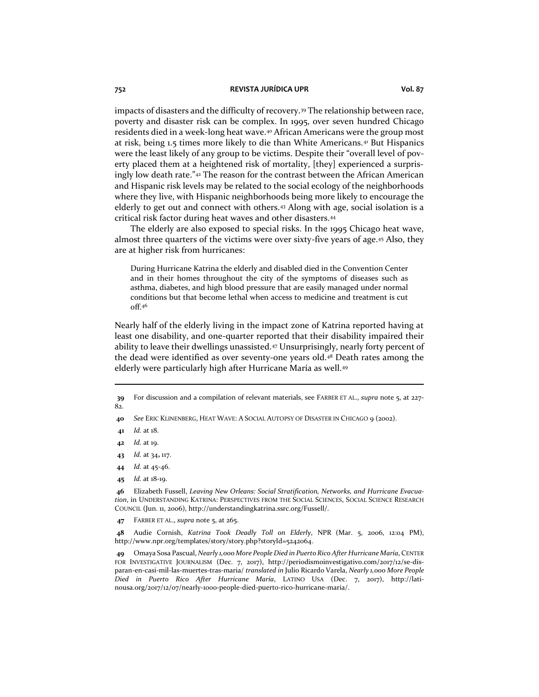impacts of disasters and the difficulty of recovery.<sup>39</sup> The relationship between race, poverty and disaster risk can be complex. In 1995, over seven hundred Chicago residents died in a week-long heat wave.<sup>40</sup> African Americans were the group most at risk, being 1.5 times more likely to die than White Americans.<sup>41</sup> But Hispanics were the least likely of any group to be victims. Despite their "overall level of poverty placed them at a heightened risk of mortality, [they] experienced a surprisingly low death rate."<sup>42</sup> The reason for the contrast between the African American and Hispanic risk levels may be related to the social ecology of the neighborhoods where they live, with Hispanic neighborhoods being more likely to encourage the elderly to get out and connect with others.<sup>43</sup> Along with age, social isolation is a critical risk factor during heat waves and other disasters.<sup>44</sup>

The elderly are also exposed to special risks. In the 1995 Chicago heat wave, almost three quarters of the victims were over sixty-five years of age.<sup>45</sup> Also, they are at higher risk from hurricanes:

During Hurricane Katrina the elderly and disabled died in the Convention Center and in their homes throughout the city of the symptoms of diseases such as asthma, diabetes, and high blood pressure that are easily managed under normal conditions but that become lethal when access to medicine and treatment is cut off.<sup>46</sup>

Nearly half of the elderly living in the impact zone of Katrina reported having at least one disability, and one-quarter reported that their disability impaired their ability to leave their dwellings unassisted.<sup>47</sup> Unsurprisingly, nearly forty percent of the dead were identified as over seventy-one years old.<sup>48</sup> Death rates among the elderly were particularly high after Hurricane María as well.<sup>49</sup>

- **43** *Id.* at 34**,** 117.
- **44** *Id.* at 45-46.
- **45** *Id.* at 18-19.

**46** Elizabeth Fussell, *Leaving New Orleans: Social Stratification, Networks, and Hurricane Evacuation*, in UNDERSTANDING KATRINA: PERSPECTIVES FROM THE SOCIAL SCIENCES, SOCIAL SCIENCE RESEARCH COUNCIL (Jun. 11, 2006), http://understandingkatrina.ssrc.org/Fussell/.

**47** FARBER ET AL., *supra* note 5, at 265.

**48** Audie Cornish, *Katrina Took Deadly Toll on Elderly*, NPR (Mar. 5, 2006, 12:04 PM), http://www.npr.org/templates/story/story.php?storyId=5242064.

**49** Omaya Sosa Pascual, *Nearly 1,000 More People Died in Puerto Rico After Hurricane María*, CENTER FOR INVESTIGATIVE JOURNALISM (Dec. 7, 2017), http://periodismoinvestigativo.com/2017/12/se-disparan-en-casi-mil-las-muertes-tras-maria/ *translated in* Julio Ricardo Varela, *Nearly 1,000 More People Died in Puerto Rico After Hurricane María*, LATINO USA (Dec. 7, 2017), http://latinousa.org/2017/12/07/nearly-1000-people-died-puerto-rico-hurricane-maria/.

**<sup>39</sup>** For discussion and a compilation of relevant materials, see FARBER ET AL., *supra* note 5, at 227- 82.

**<sup>40</sup>** *See* ERIC KLINENBERG, HEAT WAVE: A SOCIAL AUTOPSY OF DISASTER IN CHICAGO 9 (2002).

**<sup>41</sup>** *Id.* at 18.

**<sup>42</sup>** *Id.* at 19.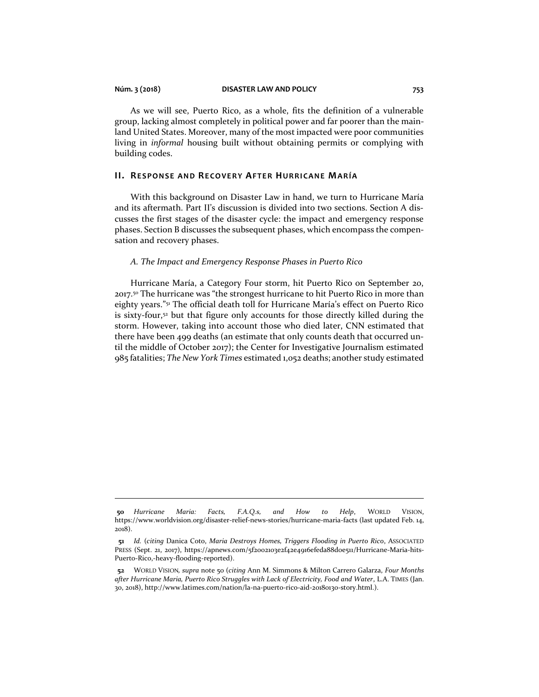As we will see, Puerto Rico, as a whole, fits the definition of a vulnerable group, lacking almost completely in political power and far poorer than the mainland United States. Moreover, many of the most impacted were poor communities living in *informal* housing built without obtaining permits or complying with building codes.

#### **II. RESPONSE AND RECOVERY AFTER HURRICANE MARÍA**

With this background on Disaster Law in hand, we turn to Hurricane María and its aftermath. Part II's discussion is divided into two sections. Section A discusses the first stages of the disaster cycle: the impact and emergency response phases. Section B discusses the subsequent phases, which encompass the compensation and recovery phases.

#### *A. The Impact and Emergency Response Phases in Puerto Rico*

Hurricane María, a Category Four storm, hit Puerto Rico on September 20, 2017.<sup>50</sup> The hurricane was "the strongest hurricane to hit Puerto Rico in more than eighty years."<sup>51</sup> The official death toll for Hurricane María's effect on Puerto Rico is sixty-four,<sup>52</sup> but that figure only accounts for those directly killed during the storm. However, taking into account those who died later, CNN estimated that there have been 499 deaths (an estimate that only counts death that occurred until the middle of October 2017); the Center for Investigative Journalism estimated 985 fatalities; *The New York Times* estimated 1,052 deaths; another study estimated

**<sup>50</sup>** *Hurricane Maria: Facts, F.A.Q.s, and How to Help*, WORLD VISION, https://www.worldvision.org/disaster-relief-news-stories/hurricane-maria-facts (last updated Feb. 14, 2018).

**<sup>51</sup>** *Id.* (*citing* Danica Coto, *Maria Destroys Homes, Triggers Flooding in Puerto Rico*, ASSOCIATED PRESS (Sept. 21, 2017), https://apnews.com/5f2002103e2f42e4916efeda88d0e511/Hurricane-Maria-hits-Puerto-Rico,-heavy-flooding-reported).

**<sup>52</sup>** WORLD VISION*, supra* note 50 (*citing* Ann M. Simmons & Milton Carrero Galarza, *Four Months after Hurricane Maria, Puerto Rico Struggles with Lack of Electricity, Food and Water*, L.A. TIMES (Jan. 30, 2018), http://www.latimes.com/nation/la-na-puerto-rico-aid-20180130-story.html.).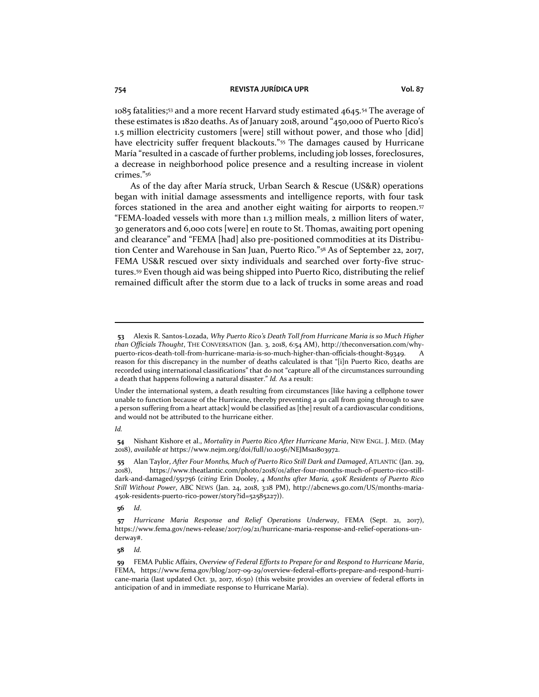1085 fatalities;<sup>53</sup> and a more recent Harvard study estimated 4645.<sup>54</sup> The average of these estimates is 1820 deaths. As of January 2018, around "450,000 of Puerto Rico's 1.5 million electricity customers [were] still without power, and those who [did] have electricity suffer frequent blackouts."<sup>55</sup> The damages caused by Hurricane María "resulted in a cascade of further problems, including job losses, foreclosures, a decrease in neighborhood police presence and a resulting increase in violent crimes."<sup>56</sup>

As of the day after María struck, Urban Search & Rescue (US&R) operations began with initial damage assessments and intelligence reports, with four task forces stationed in the area and another eight waiting for airports to reopen.<sup>57</sup> "FEMA-loaded vessels with more than 1.3 million meals, 2 million liters of water, 30 generators and 6,000 cots [were] en route to St. Thomas, awaiting port opening and clearance" and "FEMA [had] also pre-positioned commodities at its Distribution Center and Warehouse in San Juan, Puerto Rico."<sup>58</sup> As of September 22, 2017, FEMA US&R rescued over sixty individuals and searched over forty-five structures.<sup>59</sup> Even though aid was being shipped into Puerto Rico, distributing the relief remained difficult after the storm due to a lack of trucks in some areas and road

*Id.*

**56** *Id*.

**<sup>53</sup>** Alexis R. Santos-Lozada, *Why Puerto Rico's Death Toll from Hurricane Maria is so Much Higher than Officials Thought*, THE CONVERSATION (Jan. 3, 2018, 6:54 AM), http://theconversation.com/whypuerto-ricos-death-toll-from-hurricane-maria-is-so-much-higher-than-officials-thought-89349. A reason for this discrepancy in the number of deaths calculated is that "[i]n Puerto Rico, deaths are recorded using international classifications" that do not "capture all of the circumstances surrounding a death that happens following a natural disaster." *Id.* As a result:

Under the international system, a death resulting from circumstances [like having a cellphone tower unable to function because of the Hurricane, thereby preventing a 911 call from going through to save a person suffering from a heart attack] would be classified as [the] result of a cardiovascular conditions, and would not be attributed to the hurricane either.

**<sup>54</sup>** Nishant Kishore et al., *Mortality in Puerto Rico After Hurricane Maria*, NEW ENGL. J. MED. (May 2018), *available at* https://www.nejm.org/doi/full/10.1056/NEJMsa1803972.

**<sup>55</sup>** Alan Taylor, *After Four Months, Much of Puerto Rico Still Dark and Damaged*, ATLANTIC (Jan. 29, 2018), https://www.theatlantic.com/photo/2018/01/after-four-months-much-of-puerto-rico-stilldark-and-damaged/551756 (*citing* Erin Dooley, *4 Months after Maria, 450K Residents of Puerto Rico Still Without Power*, ABC NEWS (Jan. 24, 2018, 3:18 PM), http://abcnews.go.com/US/months-maria-450k-residents-puerto-rico-power/story?id=52585227)).

**<sup>57</sup>** *Hurricane Maria Response and Relief Operations Underway*, FEMA (Sept. 21, 2017), https://www.fema.gov/news-release/2017/09/21/hurricane-maria-response-and-relief-operations-underway#.

**<sup>59</sup>** FEMA Public Affairs, *Overview of Federal Efforts to Prepare for and Respond to Hurricane Maria*, FEMA, https://www.fema.gov/blog/2017-09-29/overview-federal-efforts-prepare-and-respond-hurricane-maria (last updated Oct. 31, 2017, 16:50) (this website provides an overview of federal efforts in anticipation of and in immediate response to Hurricane María).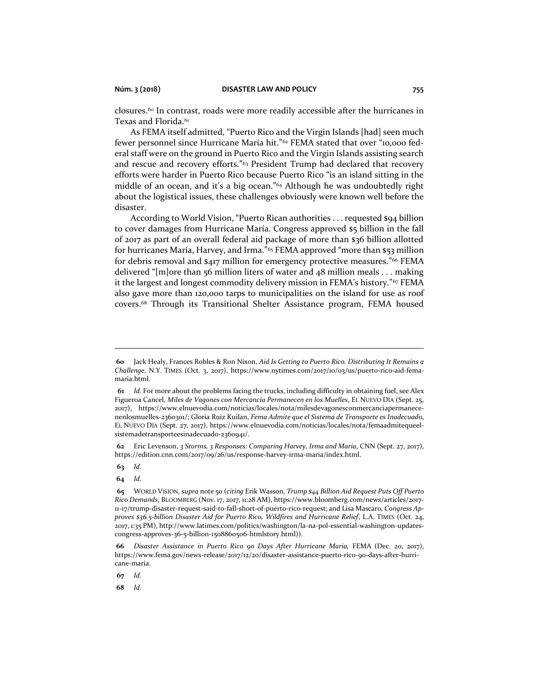closures.<sup>60</sup> In contrast, roads were more readily accessible after the hurricanes in Texas and Florida.<sup>61</sup>

As FEMA itself admitted, "Puerto Rico and the Virgin Islands [had] seen much fewer personnel since Hurricane María hit."<sup>62</sup> FEMA stated that over "10,000 federal staff were on the ground in Puerto Rico and the Virgin Islands assisting search and rescue and recovery efforts."<sup>63</sup> President Trump had declared that recovery efforts were harder in Puerto Rico because Puerto Rico "is an island sitting in the middle of an ocean, and it's a big ocean."<sup>64</sup> Although he was undoubtedly right about the logistical issues, these challenges obviously were known well before the disaster.

According to World Vision, "Puerto Rican authorities . . . requested \$94 billion to cover damages from Hurricane María. Congress approved \$5 billion in the fall of 2017 as part of an overall federal aid package of more than \$36 billion allotted for hurricanes María, Harvey, and Irma."<sup>65</sup> FEMA approved "more than \$53 million for debris removal and \$417 million for emergency protective measures." <sup>66</sup> FEMA delivered "[m]ore than 56 million liters of water and 48 million meals  $\dots$  making it the largest and longest commodity delivery mission in FEMA's history."<sup>67</sup> FEMA also gave more than 120,000 tarps to municipalities on the island for use as roof covers.<sup>68</sup> Through its Transitional Shelter Assistance program, FEMA housed

**62** Eric Levenson, *3 Storms, 3 Responses: Comparing Harvey, Irma and Maria*, CNN (Sept. 27, 2017), https://edition.cnn.com/2017/09/26/us/response-harvey-irma-maria/index.html.

**63** *Id.*

**64** *Id.*

**67** *Id.*

**<sup>60</sup>** Jack Healy, Frances Robles & Ron Nixon, *Aid Is Getting to Puerto Rico. Distributing It Remains a Challenge*, N.Y. TIMES (Oct. 3, 2017), https://www.nytimes.com/2017/10/03/us/puerto-rico-aid-femamaria.html.

**<sup>61</sup>** *Id.* For more about the problems facing the trucks, including difficulty in obtaining fuel, see Alex Figueroa Cancel, *Miles de Vagones con Mercancía Permanecen en los Muelles*, EL NUEVO DÍA (Sept. 25, 2017), https://www.elnuevodia.com/noticias/locales/nota/milesdevagonesconmercanciapermanecenenlosmuelles-2360301/; Gloria Ruiz Kuilan, *Fema Admite que el Sistema de Transporte es Inadecuad*o, EL NUEVO DÍA (Sept. 27, 2017), https://www.elnuevodia.com/noticias/locales/nota/femaadmitequeelsistemadetransporteesinadecuado-2360941/.

**<sup>65</sup>** WORLD VISION, *supra* note 50 (*citing* Erik Wasson, *Trump \$44 Billion Aid Request Puts Off Puerto Rico Demands*, BLOOMBERG (Nov. 17, 2017, 11:28 AM)[, https://www.bloomberg.com/news/articles/2017-](https://www.bloomberg.com/news/articles/2017-11-17/trump-disaster-request-said-to-fall-short-of-puerto-rico-request) [11-17/trump-disaster-request-said-to-fall-short-of-puerto-rico-request;](https://www.bloomberg.com/news/articles/2017-11-17/trump-disaster-request-said-to-fall-short-of-puerto-rico-request) and Lisa Mascaro*, Congress Approves \$36.5-billion Disaster Aid for Puerto Rico, Wildfires and Hurricane Relief*, L.A. TIMES (Oct. 24, 2017, 1:35 PM), http://www.latimes.com/politics/washington/la-na-pol-essential-washington-updatescongress-approves-36-5-billion-1508860506-htmlstory.html)).

**<sup>66</sup>** *Disaster Assistance in Puerto Rico 90 Days After Hurricane Maria,* FEMA (Dec. 20, 2017), https://www.fema.gov/news-release/2017/12/20/disaster-assistance-puerto-rico-90-days-after-hurricane-maria.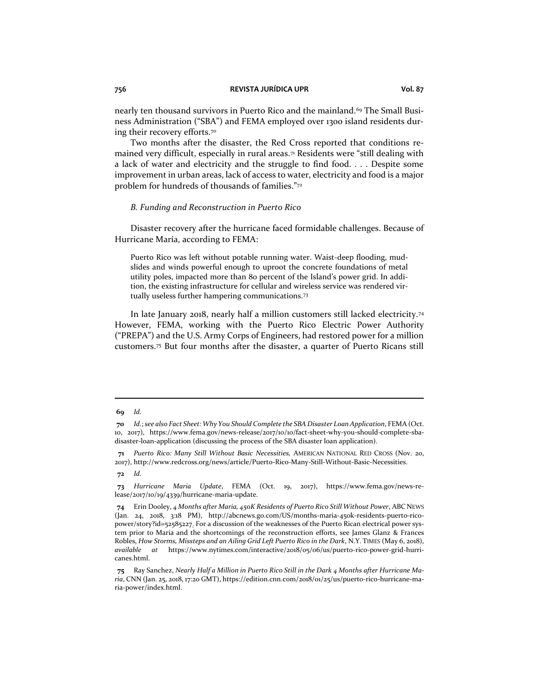nearly ten thousand survivors in Puerto Rico and the mainland.<sup>69</sup> The Small Business Administration ("SBA") and FEMA employed over 1300 island residents during their recovery efforts.<sup>70</sup>

Two months after the disaster, the Red Cross reported that conditions remained very difficult, especially in rural areas. $\pi$  Residents were "still dealing with a lack of water and electricity and the struggle to find food. . . . Despite some improvement in urban areas, lack of access to water, electricity and food is a major problem for hundreds of thousands of families."<sup>72</sup>

### *B. Funding and Reconstruction in Puerto Rico*

Disaster recovery after the hurricane faced formidable challenges. Because of Hurricane María, according to FEMA:

Puerto Rico was left without potable running water. Waist-deep flooding, mudslides and winds powerful enough to uproot the concrete foundations of metal utility poles, impacted more than 80 percent of the Island's power grid. In addition, the existing infrastructure for cellular and wireless service was rendered virtually useless further hampering communications.<sup>73</sup>

In late January 2018, nearly half a million customers still lacked electricity.<sup>74</sup> However, FEMA, working with the Puerto Rico Electric Power Authority ("PREPA") and the U.S. Army Corps of Engineers, had restored power for a million customers.<sup>75</sup> But four months after the disaster, a quarter of Puerto Ricans still

**<sup>70</sup>** *Id.*; *see also Fact Sheet: Why You Should Complete the SBA Disaster Loan Application*, FEMA (Oct. 10, 2017), https://www.fema.gov/news-release/2017/10/10/fact-sheet-why-you-should-complete-sbadisaster-loan-application (discussing the process of the SBA disaster loan application).

**<sup>71</sup>** *Puerto Rico: Many Still Without Basic Necessities,* AMERICAN NATIONAL RED CROSS (Nov. 20, 2017), http://www.redcross.org/news/article/Puerto-Rico-Many-Still-Without-Basic-Necessities.

**<sup>72</sup>** *Id.*

**<sup>73</sup>** *Hurricane Maria Update*, FEMA (Oct. 19, 2017), https://www.fema.gov/news-release/2017/10/19/4339/hurricane-maria-update.

**<sup>74</sup>** Erin Dooley, *4 Months after Maria, 450K Residents of Puerto Rico Still Without Power*, ABC NEWS (Jan. 24, 2018, 3:18 PM), http://abcnews.go.com/US/months-maria-450k-residents-puerto-ricopower/story?id=52585227. For a discussion of the weaknesses of the Puerto Rican electrical power system prior to Maria and the shortcomings of the reconstruction efforts, see James Glanz & Frances Robles, *How Storms, Missteps and an Ailing Grid Left Puerto Rico in the Dark*, N.Y. TIMES (May 6, 2018), *available at* https://www.nytimes.com/interactive/2018/05/06/us/puerto-rico-power-grid-hurricanes.html.

**<sup>75</sup>** Ray Sanchez, *Nearly Half a Million in Puerto Rico Still in the Dark 4 Months after Hurricane Maria*, CNN (Jan. 25, 2018, 17:20 GMT), https://edition.cnn.com/2018/01/25/us/puerto-rico-hurricane-maria-power/index.html.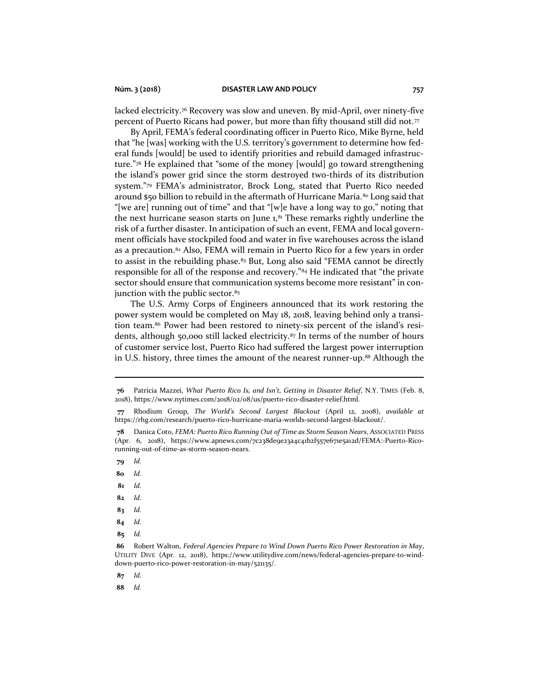lacked electricity.<sup>76</sup> Recovery was slow and uneven. By mid-April, over ninety-five percent of Puerto Ricans had power, but more than fifty thousand still did not. $\pi$ 

By April, FEMA's federal coordinating officer in Puerto Rico, Mike Byrne, held that "he [was] working with the U.S. territory's government to determine how federal funds [would] be used to identify priorities and rebuild damaged infrastructure."<sup>78</sup> He explained that "some of the money [would] go toward strengthening the island's power grid since the storm destroyed two-thirds of its distribution system."<sup>79</sup> FEMA's administrator, Brock Long, stated that Puerto Rico needed around \$50 billion to rebuild in the aftermath of Hurricane María.<sup>80</sup> Long said that "[we are] running out of time" and that "[w]e have a long way to go," noting that the next hurricane season starts on June  $1$ , $^{81}$  These remarks rightly underline the risk of a further disaster. In anticipation of such an event, FEMA and local government officials have stockpiled food and water in five warehouses across the island as a precaution. $82$  Also, FEMA will remain in Puerto Rico for a few years in order to assist in the rebuilding phase.<sup>83</sup> But, Long also said "FEMA cannot be directly responsible for all of the response and recovery."<sup>84</sup> He indicated that "the private sector should ensure that communication systems become more resistant" in conjunction with the public sector.<sup>85</sup>

The U.S. Army Corps of Engineers announced that its work restoring the power system would be completed on May 18, 2018, leaving behind only a transition team.<sup>86</sup> Power had been restored to ninety-six percent of the island's residents, although 50,000 still lacked electricity.<sup>87</sup> In terms of the number of hours of customer service lost, Puerto Rico had suffered the largest power interruption in U.S. history, three times the amount of the nearest runner-up.<sup>88</sup> Although the

- **79** *Id.*
- **80** *Id.*
- **81** *Id.*
- **82** *Id.*
- **83** *Id.*
- **84** *Id.*
- **85** *Id.*

**87** *Id.*

**<sup>76</sup>** Patricia Mazzei, *What Puerto Rico Is, and Isn't, Getting in Disaster Relief*, N.Y. TIMES (Feb. 8, 2018), https://www.nytimes.com/2018/02/08/us/puerto-rico-disaster-relief.html.

**<sup>77</sup>** Rhodium Group, *The World's Second Largest Blackout* (April 12, 2008), *available at* https://rhg.com/research/puerto-rico-hurricane-maria-worlds-second-largest-blackout/.

**<sup>78</sup>** Danica Coto, *FEMA: Puerto Rico Running Out of Time as Storm Season Nears*, ASSOCIATED PRESS (Apr. 6, 2018), https://www.apnews.com/7c238de9e23a4c41b2f557e671e5a12d/FEMA:-Puerto-Ricorunning-out-of-time-as-storm-season-nears.

**<sup>86</sup>** Robert Walton, *Federal Agencies Prepare to Wind Down Puerto Rico Power Restoration in May*, UTILITY DIVE (Apr. 12, 2018), https://www.utilitydive.com/news/federal-agencies-prepare-to-winddown-puerto-rico-power-restoration-in-may/521135/.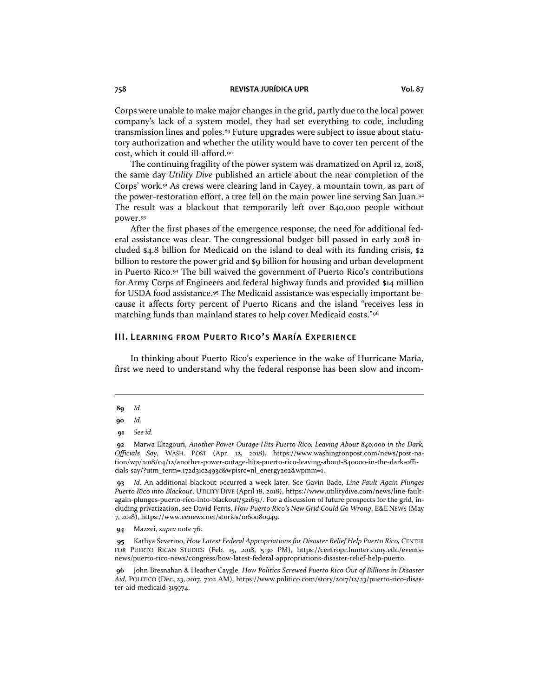Corps were unable to make major changes in the grid, partly due to the local power company's lack of a system model, they had set everything to code, including transmission lines and poles.<sup>89</sup> Future upgrades were subject to issue about statutory authorization and whether the utility would have to cover ten percent of the cost, which it could ill-afford.<sup>90</sup>

The continuing fragility of the power system was dramatized on April 12, 2018, the same day *Utility Dive* published an article about the near completion of the Corps' work.<sup>91</sup> As crews were clearing land in Cayey, a mountain town, as part of the power-restoration effort, a tree fell on the main power line serving San Juan.<sup>92</sup> The result was a blackout that temporarily left over 840,000 people without power.<sup>93</sup>

After the first phases of the emergence response, the need for additional federal assistance was clear. The congressional budget bill passed in early 2018 included \$4.8 billion for Medicaid on the island to deal with its funding crisis, \$2 billion to restore the power grid and \$9 billion for housing and urban development in Puerto Rico.<sup>94</sup> The bill waived the government of Puerto Rico's contributions for Army Corps of Engineers and federal highway funds and provided \$14 million for USDA food assistance.<sup>95</sup> The Medicaid assistance was especially important because it affects forty percent of Puerto Ricans and the island "receives less in matching funds than mainland states to help cover Medicaid costs."<sup>96</sup>

#### **III. LE AR NING FR OM PUE R TO RI CO'S MAR Í A EXP E R IE NCE**

In thinking about Puerto Rico's experience in the wake of Hurricane María, first we need to understand why the federal response has been slow and incom-

**<sup>89</sup>** *Id.*

**<sup>90</sup>** *Id.*

**<sup>91</sup>** *See id.*

**<sup>92</sup>** Marwa Eltagouri, *Another Power Outage Hits Puerto Rico, Leaving About 840,000 in the Dark, Officials Say*, WASH. POST (Apr. 12, 2018), https://www.washingtonpost.com/news/post-nation/wp/2018/04/12/another-power-outage-hits-puerto-rico-leaving-about-840000-in-the-dark-officials-say/?utm\_term=.172d31c2493c&wpisrc=nl\_energy202&wpmm=1.

**<sup>93</sup>** *Id.* An additional blackout occurred a week later. See Gavin Bade, *Line Fault Again Plunges Puerto Rico into Blackout*, UTILITY DIVE (April 18, 2018), https://www.utilitydive.com/news/line-faultagain-plunges-puerto-rico-into-blackout/521651/. For a discussion of future prospects for the grid, including privatization, see David Ferris, *How Puerto Rico's New Grid Could Go Wrong*, E&E NEWS (May 7, 2018), https://www.eenews.net/stories/1060080949.

**<sup>94</sup>** Mazzei, *supra* note 76.

**<sup>95</sup>** Kathya Severino, *How Latest Federal Appropriations for Disaster Relief Help Puerto Rico,* CENTER FOR PUERTO RICAN STUDIES (Feb. 15, 2018, 5:30 PM), https://centropr.hunter.cuny.edu/eventsnews/puerto-rico-news/congress/how-latest-federal-appropriations-disaster-relief-help-puerto.

**<sup>96</sup>** John Bresnahan & Heather Caygle, *How Politics Screwed Puerto Rico Out of Billions in Disaster Aid*, POLITICO (Dec. 23, 2017, 7:02 AM), https://www.politico.com/story/2017/12/23/puerto-rico-disaster-aid-medicaid-315974.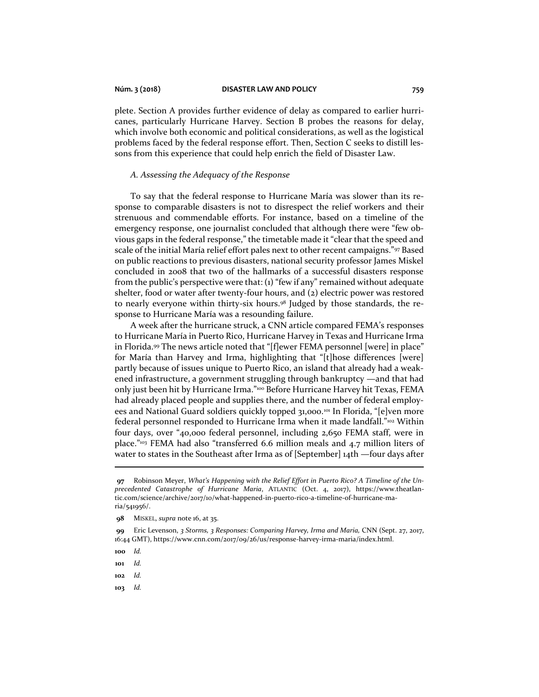plete. Section A provides further evidence of delay as compared to earlier hurricanes, particularly Hurricane Harvey. Section B probes the reasons for delay, which involve both economic and political considerations, as well as the logistical problems faced by the federal response effort. Then, Section C seeks to distill lessons from this experience that could help enrich the field of Disaster Law.

### *A. Assessing the Adequacy of the Response*

To say that the federal response to Hurricane María was slower than its response to comparable disasters is not to disrespect the relief workers and their strenuous and commendable efforts. For instance, based on a timeline of the emergency response, one journalist concluded that although there were "few obvious gaps in the federal response," the timetable made it "clear that the speed and scale of the initial María relief effort pales next to other recent campaigns."97 Based on public reactions to previous disasters, national security professor James Miskel concluded in 2008 that two of the hallmarks of a successful disasters response from the public's perspective were that: (1) "few if any" remained without adequate shelter, food or water after twenty-four hours, and (2) electric power was restored to nearly everyone within thirty-six hours.<sup>98</sup> Judged by those standards, the response to Hurricane María was a resounding failure.

A week after the hurricane struck, a CNN article compared FEMA's responses to Hurricane María in Puerto Rico, Hurricane Harvey in Texas and Hurricane Irma in Florida.<sup>99</sup> The news article noted that "[f]ewer FEMA personnel [were] in place" for María than Harvey and Irma, highlighting that "[t]hose differences [were] partly because of issues unique to Puerto Rico, an island that already had a weakened infrastructure, a government struggling through bankruptcy —and that had only just been hit by Hurricane Irma."<sup>100</sup> Before Hurricane Harvey hit Texas, FEMA had already placed people and supplies there, and the number of federal employees and National Guard soldiers quickly topped 31,000.<sup>101</sup> In Florida, "[e]ven more federal personnel responded to Hurricane Irma when it made landfall."<sup>102</sup> Within four days, over "40,000 federal personnel, including 2,650 FEMA staff, were in place."<sup>103</sup> FEMA had also "transferred 6.6 million meals and 4.7 million liters of water to states in the Southeast after Irma as of [September] 14th —four days after

- **101** *Id.*
- **102** *Id.*
- **103** *Id.*

**<sup>97</sup>** Robinson Meyer, *What's Happening with the Relief Effort in Puerto Rico? A Timeline of the Unprecedented Catastrophe of Hurricane Maria*, ATLANTIC (Oct. 4, 2017), https://www.theatlantic.com/science/archive/2017/10/what-happened-in-puerto-rico-a-timeline-of-hurricane-maria/541956/.

**<sup>98</sup>** MISKEL, *supra* note 16, at 35.

**<sup>99</sup>** Eric Levenson, *3 Storms, 3 Responses: Comparing Harvey, Irma and Maria,* CNN (Sept. 27, 2017, 16:44 GMT), https://www.cnn.com/2017/09/26/us/response-harvey-irma-maria/index.html.

**<sup>100</sup>** *Id.*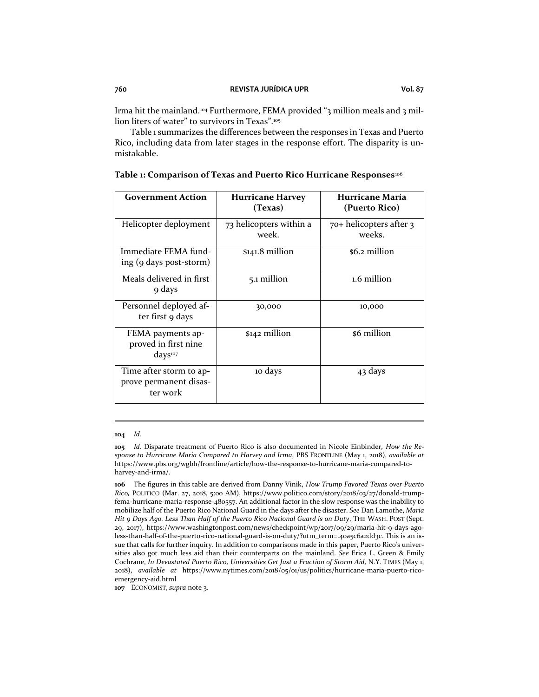Table 1 summarizes the differences between the responses in Texas and Puerto Rico, including data from later stages in the response effort. The disparity is unmistakable.

| <b>Government Action</b>                                         | <b>Hurricane Harvey</b><br>(Texas) | Hurricane María<br>(Puerto Rico)  |
|------------------------------------------------------------------|------------------------------------|-----------------------------------|
| Helicopter deployment                                            | 73 helicopters within a<br>week.   | 70+ helicopters after 3<br>weeks. |
| Immediate FEMA fund-<br>ing (9 days post-storm)                  | \$141.8 million                    | \$6.2 million                     |
| Meals delivered in first<br>9 days                               | 5.1 million                        | 1.6 million                       |
| Personnel deployed af-<br>ter first 9 days                       | 30,000                             | 10,000                            |
| FEMA payments ap-<br>proved in first nine<br>days <sup>107</sup> | \$142 million                      | \$6 million                       |
| Time after storm to ap-<br>prove permanent disas-<br>ter work    | 10 days                            | 43 days                           |

#### **Table 1: Comparison of Texas and Puerto Rico Hurricane Responses**<sup>106</sup>

#### **104** *Id.*

**105** *Id.* Disparate treatment of Puerto Rico is also documented in Nicole Einbinder, *How the Response to Hurricane Maria Compared to Harvey and Irma*, PBS FRONTLINE (May 1, 2018), *available at*  https://www.pbs.org/wgbh/frontline/article/how-the-response-to-hurricane-maria-compared-toharvey-and-irma/.

**107** ECONOMIST, *supra* note 3.

**<sup>106</sup>** The figures in this table are derived from Danny Vinik, *How Trump Favored Texas over Puerto Rico,* POLITICO (Mar. 27, 2018, 5:00 AM), https://www.politico.com/story/2018/03/27/donald-trumpfema-hurricane-maria-response-480557. An additional factor in the slow response was the inability to mobilize half of the Puerto Rico National Guard in the days after the disaster. *See* Dan Lamothe, *Maria Hit 9 Days Ago. Less Than Half of the Puerto Rico National Guard is on Duty*, THE WASH. POST (Sept. 29, 2017), https://www.washingtonpost.com/news/checkpoint/wp/2017/09/29/maria-hit-9-days-agoless-than-half-of-the-puerto-rico-national-guard-is-on-duty/?utm\_term=.40a5c6a2dd3c. This is an issue that calls for further inquiry. In addition to comparisons made in this paper, Puerto Rico's universities also got much less aid than their counterparts on the mainland. *See* Erica L. Green & Emily Cochrane, *In Devastated Puerto Rico, Universities Get Just a Fraction of Storm Aid,* N.Y. TIMES (May 1, 2018), *available at* https://www.nytimes.com/2018/05/01/us/politics/hurricane-maria-puerto-ricoemergency-aid.html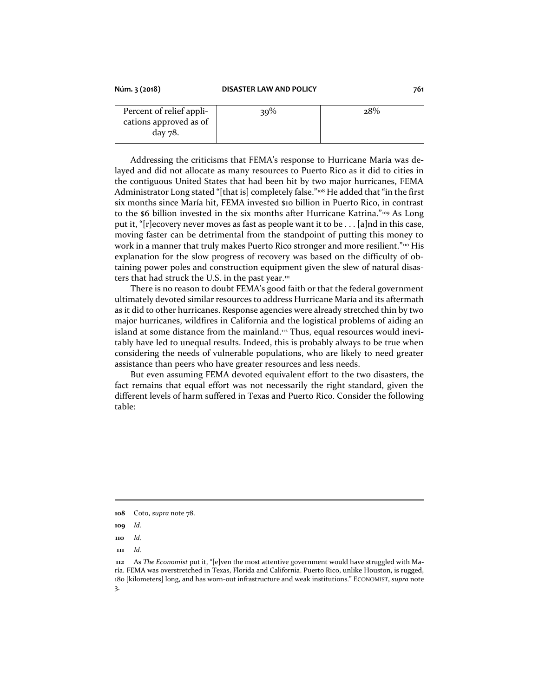| Percent of relief appli- | $39\%$ | 28% |
|--------------------------|--------|-----|
| cations approved as of   |        |     |
| day 78.                  |        |     |

Addressing the criticisms that FEMA's response to Hurricane María was delayed and did not allocate as many resources to Puerto Rico as it did to cities in the contiguous United States that had been hit by two major hurricanes, FEMA Administrator Long stated "[that is] completely false."<sup>108</sup> He added that "in the first six months since María hit, FEMA invested \$10 billion in Puerto Rico, in contrast to the \$6 billion invested in the six months after Hurricane Katrina."<sup>109</sup> As Long put it, "[r]ecovery never moves as fast as people want it to be . . . [a]nd in this case, moving faster can be detrimental from the standpoint of putting this money to work in a manner that truly makes Puerto Rico stronger and more resilient."<sup>110</sup> His explanation for the slow progress of recovery was based on the difficulty of obtaining power poles and construction equipment given the slew of natural disasters that had struck the U.S. in the past year. $111$ 

There is no reason to doubt FEMA's good faith or that the federal government ultimately devoted similar resources to address Hurricane María and its aftermath as it did to other hurricanes. Response agencies were already stretched thin by two major hurricanes, wildfires in California and the logistical problems of aiding an island at some distance from the mainland.<sup>112</sup> Thus, equal resources would inevitably have led to unequal results. Indeed, this is probably always to be true when considering the needs of vulnerable populations, who are likely to need greater assistance than peers who have greater resources and less needs.

But even assuming FEMA devoted equivalent effort to the two disasters, the fact remains that equal effort was not necessarily the right standard, given the different levels of harm suffered in Texas and Puerto Rico. Consider the following table:

**<sup>108</sup>** Coto, *supra* note 78.

**<sup>109</sup>** *Id.*

**<sup>110</sup>** *Id.*

**<sup>112</sup>** As *The Economist* put it, "[e]ven the most attentive government would have struggled with María. FEMA was overstretched in Texas, Florida and California. Puerto Rico, unlike Houston, is rugged, 180 [kilometers] long, and has worn-out infrastructure and weak institutions." ECONOMIST, *supra* note 3.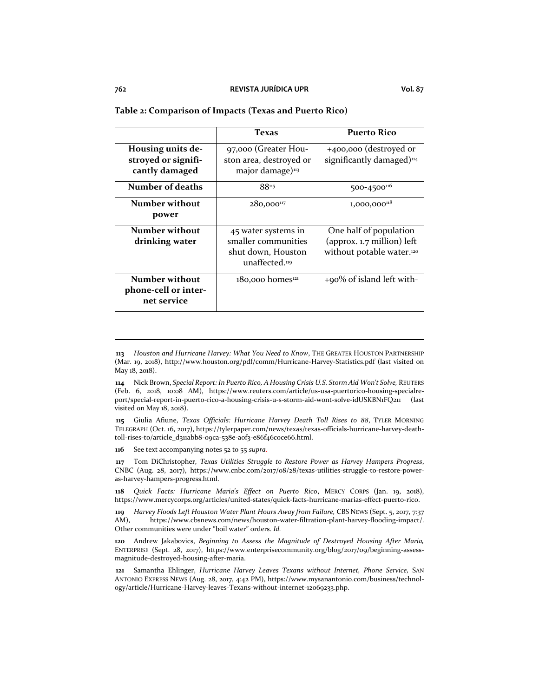#### **Table 2: Comparison of Impacts (Texas and Puerto Rico)**

|                                                              | Texas                                                                              | <b>Puerto Rico</b>                                                                            |
|--------------------------------------------------------------|------------------------------------------------------------------------------------|-----------------------------------------------------------------------------------------------|
| Housing units de-<br>stroyed or signifi-<br>cantly damaged   | 97,000 (Greater Hou-<br>ston area, destroyed or<br>major damage) <sup>113</sup>    | +400,000 (destroyed or<br>significantly damaged) <sup>114</sup>                               |
| Number of deaths                                             | 88115                                                                              | 500-4500 <sup>116</sup>                                                                       |
| Number without<br>power                                      | $280,000^{117}$                                                                    | $1,000,000$ <sup>118</sup>                                                                    |
| Number without<br>drinking water                             | 45 water systems in<br>smaller communities<br>shut down, Houston<br>unaffected.119 | One half of population<br>(approx. 1.7 million) left<br>without potable water. <sup>120</sup> |
| <b>Number without</b><br>phone-cell or inter-<br>net service | $180,000$ homes <sup>121</sup>                                                     | $+90\%$ of island left with-                                                                  |

**115** Giulia Afiune, *Texas Officials: Hurricane Harvey Death Toll Rises to 88*, TYLER MORNING TELEGRAPH (Oct. 16, 2017), https://tylerpaper.com/news/texas/texas-officials-hurricane-harvey-deathtoll-rises-to/article\_d311abb8-09ca-538e-a0f3-e86f46c0ce66.html.

**116** See text accompanying notes 52 to 55 *supra*.

**117** Tom DiChristopher, *Texas Utilities Struggle to Restore Power as Harvey Hampers Progress*, CNBC (Aug. 28, 2017), https://www.cnbc.com/2017/08/28/texas-utilities-struggle-to-restore-poweras-harvey-hampers-progress.html.

**118** *Quick Facts: Hurricane Maria's Effect on Puerto Rico*, MERCY CORPS (Jan. 19, 2018), https://www.mercycorps.org/articles/united-states/quick-facts-hurricane-marias-effect-puerto-rico.

**119** *Harvey Floods Left Houston Water Plant Hours Away from Failure,* CBS NEWS (Sept. 5, 2017, 7:37 AM), https://www.cbsnews.com/news/houston-water-filtration-plant-harvey-flooding-impact/. Other communities were under "boil water" orders. *Id.*

**120** Andrew Jakabovics, *Beginning to Assess the Magnitude of Destroyed Housing After Maria,*  ENTERPRISE (Sept. 28, 2017), https://www.enterprisecommunity.org/blog/2017/09/beginning-assessmagnitude-destroyed-housing-after-maria.

**121** Samantha Ehlinger, *Hurricane Harvey Leaves Texans without Internet, Phone Service,* SAN ANTONIO EXPRESS NEWS (Aug. 28, 2017, 4:42 PM), https://www.mysanantonio.com/business/technology/article/Hurricane-Harvey-leaves-Texans-without-internet-12069233.php.

**<sup>113</sup>** *Houston and Hurricane Harvey: What You Need to Know*, THE GREATER HOUSTON PARTNERSHIP (Mar. 19, 2018), http://www.houston.org/pdf/comm/Hurricane-Harvey-Statistics.pdf (last visited on May 18, 2018).

**<sup>114</sup>** Nick Brown, *Special Report: In Puerto Rico, A Housing Crisis U.S. Storm Aid Won't Solve,* REUTERS (Feb. 6, 2018, 10:08 AM), https://www.reuters.com/article/us-usa-puertorico-housing-specialreport/special-report-in-puerto-rico-a-housing-crisis-u-s-storm-aid-wont-solve-idUSKBN1FQ211 (last visited on May 18, 2018).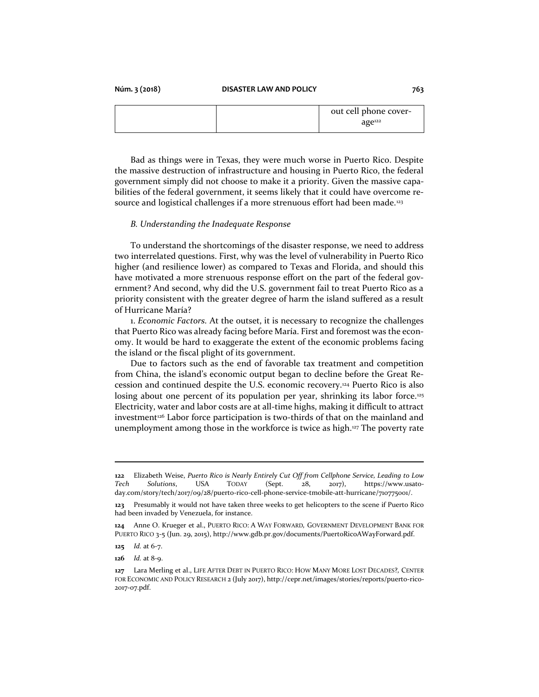|  | out cell phone cover- |
|--|-----------------------|
|  | age <sup>122</sup>    |

Bad as things were in Texas, they were much worse in Puerto Rico. Despite the massive destruction of infrastructure and housing in Puerto Rico, the federal government simply did not choose to make it a priority. Given the massive capabilities of the federal government, it seems likely that it could have overcome resource and logistical challenges if a more strenuous effort had been made.<sup>123</sup>

#### *B. Understanding the Inadequate Response*

To understand the shortcomings of the disaster response, we need to address two interrelated questions. First, why was the level of vulnerability in Puerto Rico higher (and resilience lower) as compared to Texas and Florida, and should this have motivated a more strenuous response effort on the part of the federal government? And second, why did the U.S. government fail to treat Puerto Rico as a priority consistent with the greater degree of harm the island suffered as a result of Hurricane María?

1. *Economic Factors.* At the outset, it is necessary to recognize the challenges that Puerto Rico was already facing before María. First and foremost was the economy. It would be hard to exaggerate the extent of the economic problems facing the island or the fiscal plight of its government.

Due to factors such as the end of favorable tax treatment and competition from China, the island's economic output began to decline before the Great Recession and continued despite the U.S. economic recovery.<sup>124</sup> Puerto Rico is also losing about one percent of its population per year, shrinking its labor force.<sup>125</sup> Electricity, water and labor costs are at all-time highs, making it difficult to attract investment<sup>126</sup> Labor force participation is two-thirds of that on the mainland and unemployment among those in the workforce is twice as high.<sup>127</sup> The poverty rate

**<sup>122</sup>** Elizabeth Weise, *Puerto Rico is Nearly Entirely Cut Off from Cellphone Service, Leading to Low Tech Solutions*, USA TODAY (Sept. 28, 2017), https://www.usatoday.com/story/tech/2017/09/28/puerto-rico-cell-phone-service-tmobile-att-hurricane/710775001/.

**<sup>123</sup>** Presumably it would not have taken three weeks to get helicopters to the scene if Puerto Rico had been invaded by Venezuela, for instance.

**<sup>124</sup>** Anne O. Krueger et al., PUERTO RICO: A WAY FORWARD*,* GOVERNMENT DEVELOPMENT BANK FOR PUERTO RICO 3-5 (Jun. 29, 2015), http://www.gdb.pr.gov/documents/PuertoRicoAWayForward.pdf.

**<sup>125</sup>** *Id.* at 6-7.

**<sup>126</sup>** *Id.* at 8-9.

**<sup>127</sup>** Lara Merling et al., LIFE AFTER DEBT IN PUERTO RICO: HOW MANY MORE LOST DECADES?*,* CENTER FOR ECONOMIC AND POLICY RESEARCH 2 (July 2017)[, http://cepr.net/images/stories/reports/puerto-rico-](http://cepr.net/images/stories/reports/puerto-rico-2017-07.pdf)[2017-07.pdf.](http://cepr.net/images/stories/reports/puerto-rico-2017-07.pdf)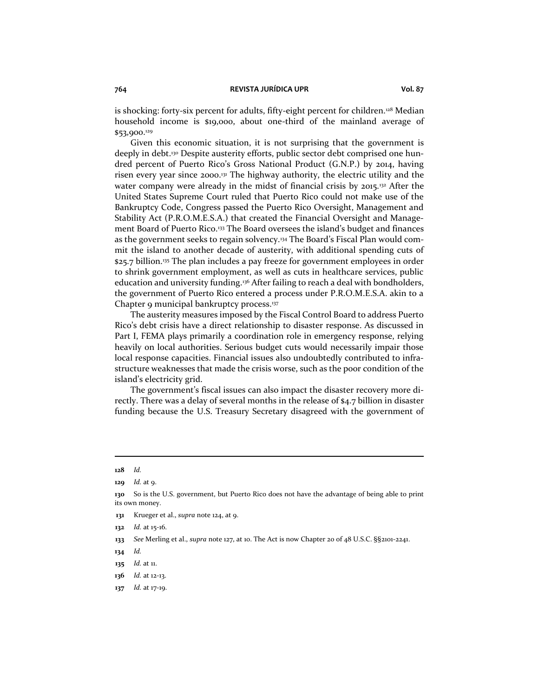is shocking: forty-six percent for adults, fifty-eight percent for children.<sup>128</sup> Median household income is \$19,000, about one-third of the mainland average of \$53,900.<sup>129</sup>

Given this economic situation, it is not surprising that the government is deeply in debt.<sup>130</sup> Despite austerity efforts, public sector debt comprised one hundred percent of Puerto Rico's Gross National Product (G.N.P.) by 2014, having risen every year since 2000.<sup>131</sup> The highway authority, the electric utility and the water company were already in the midst of financial crisis by 2015.<sup>132</sup> After the United States Supreme Court ruled that Puerto Rico could not make use of the Bankruptcy Code, Congress passed the Puerto Rico Oversight, Management and Stability Act (P.R.O.M.E.S.A.) that created the Financial Oversight and Management Board of Puerto Rico.<sup>133</sup> The Board oversees the island's budget and finances as the government seeks to regain solvency.<sup>134</sup> The Board's Fiscal Plan would commit the island to another decade of austerity, with additional spending cuts of \$25.7 billion.<sup>135</sup> The plan includes a pay freeze for government employees in order to shrink government employment, as well as cuts in healthcare services, public education and university funding.<sup>136</sup> After failing to reach a deal with bondholders, the government of Puerto Rico entered a process under P.R.O.M.E.S.A. akin to a Chapter 9 municipal bankruptcy process.<sup>137</sup>

The austerity measures imposed by the Fiscal Control Board to address Puerto Rico's debt crisis have a direct relationship to disaster response. As discussed in Part I, FEMA plays primarily a coordination role in emergency response, relying heavily on local authorities. Serious budget cuts would necessarily impair those local response capacities. Financial issues also undoubtedly contributed to infrastructure weaknesses that made the crisis worse, such as the poor condition of the island's electricity grid.

The government's fiscal issues can also impact the disaster recovery more directly. There was a delay of several months in the release of \$4.7 billion in disaster funding because the U.S. Treasury Secretary disagreed with the government of

**<sup>128</sup>** *Id.*

**<sup>129</sup>** *Id.* at 9.

**<sup>130</sup>** So is the U.S. government, but Puerto Rico does not have the advantage of being able to print its own money.

**<sup>131</sup>** Krueger et al., *supra* note 124, at 9.

**<sup>132</sup>** *Id.* at 15-16.

**<sup>133</sup>** *See* Merling et al., *supra* note 127, at 10. The Act is now Chapter 20 of 48 U.S.C. §§2101-2241.

**<sup>134</sup>** *Id.*

**<sup>135</sup>** *Id.* at 11.

**<sup>136</sup>** *Id.* at 12-13.

**<sup>137</sup>** *Id.* at 17-19.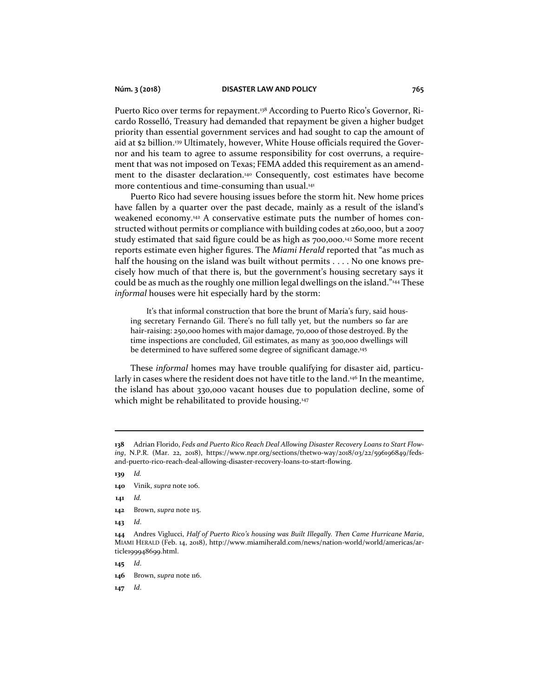Puerto Rico over terms for repayment.<sup>138</sup> According to Puerto Rico's Governor, Ricardo Rosselló, Treasury had demanded that repayment be given a higher budget priority than essential government services and had sought to cap the amount of aid at \$2 billion.<sup>139</sup> Ultimately, however, White House officials required the Governor and his team to agree to assume responsibility for cost overruns, a requirement that was not imposed on Texas; FEMA added this requirement as an amendment to the disaster declaration.<sup>140</sup> Consequently, cost estimates have become more contentious and time-consuming than usual.<sup>141</sup>

Puerto Rico had severe housing issues before the storm hit. New home prices have fallen by a quarter over the past decade, mainly as a result of the island's weakened economy.<sup>142</sup> A conservative estimate puts the number of homes constructed without permits or compliance with building codes at 260,000, but a 2007 study estimated that said figure could be as high as 700,000.<sup>143</sup> Some more recent reports estimate even higher figures. The *Miami Herald* reported that "as much as half the housing on the island was built without permits . . . . No one knows precisely how much of that there is, but the government's housing secretary says it could be as much as the roughly one million legal dwellings on the island."<sup>144</sup> These *informal* houses were hit especially hard by the storm:

It's that informal construction that bore the brunt of María's fury, said housing secretary Fernando Gil. There's no full tally yet, but the numbers so far are hair-raising: 250,000 homes with major damage, 70,000 of those destroyed. By the time inspections are concluded, Gil estimates, as many as 300,000 dwellings will be determined to have suffered some degree of significant damage.<sup>145</sup>

These *informal* homes may have trouble qualifying for disaster aid, particularly in cases where the resident does not have title to the land.<sup>46</sup> In the meantime, the island has about 330,000 vacant houses due to population decline, some of which might be rehabilitated to provide housing.<sup>147</sup>

**139** *Id.*

- **141** *Id.*
- **142** Brown, *supra* note 115.
- **143** *Id*.

**145** *Id*.

**<sup>138</sup>** Adrian Florido, *Feds and Puerto Rico Reach Deal Allowing Disaster Recovery Loans to Start Flowing*, N.P.R. (Mar. 22, 2018), https://www.npr.org/sections/thetwo-way/2018/03/22/596196849/fedsand-puerto-rico-reach-deal-allowing-disaster-recovery-loans-to-start-flowing.

**<sup>140</sup>** Vinik, *supra* note 106.

**<sup>144</sup>** Andres Viglucci, *Half of Puerto Rico's housing was Built Illegally. Then Came Hurricane Maria*, MIAMI HERALD (Feb. 14, 2018), http://www.miamiherald.com/news/nation-world/world/americas/article199948699.html.

**<sup>146</sup>** Brown, *supra* note 116.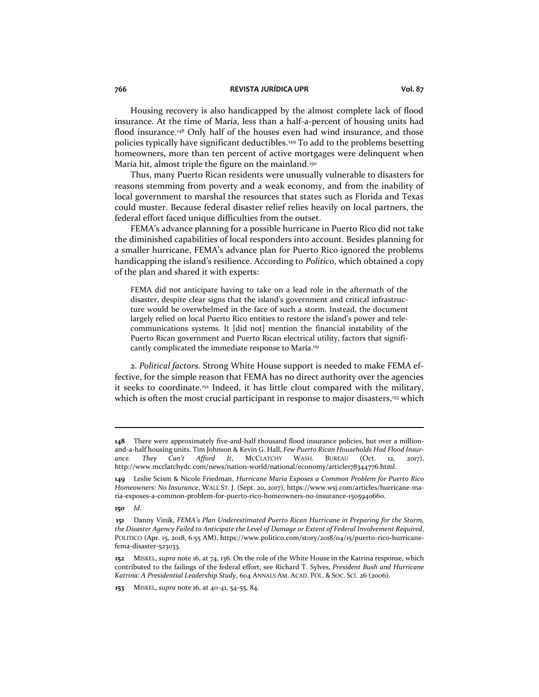Housing recovery is also handicapped by the almost complete lack of flood insurance. At the time of María, less than a half-a-percent of housing units had flood insurance.<sup>148</sup> Only half of the houses even had wind insurance, and those policies typically have significant deductibles.<sup>149</sup> To add to the problems besetting homeowners, more than ten percent of active mortgages were delinquent when María hit, almost triple the figure on the mainland.<sup>150</sup>

Thus, many Puerto Rican residents were unusually vulnerable to disasters for reasons stemming from poverty and a weak economy, and from the inability of local government to marshal the resources that states such as Florida and Texas could muster. Because federal disaster relief relies heavily on local partners, the federal effort faced unique difficulties from the outset.

FEMA's advance planning for a possible hurricane in Puerto Rico did not take the diminished capabilities of local responders into account. Besides planning for a smaller hurricane, FEMA's advance plan for Puerto Rico ignored the problems handicapping the island's resilience. According to *Politico*, which obtained a copy of the plan and shared it with experts:

FEMA did not anticipate having to take on a lead role in the aftermath of the disaster, despite clear signs that the island's government and critical infrastructure would be overwhelmed in the face of such a storm. Instead, the document largely relied on local Puerto Rico entities to restore the island's power and telecommunications systems. It [did not] mention the financial instability of the Puerto Rican government and Puerto Rican electrical utility, factors that significantly complicated the immediate response to María.<sup>151</sup>

2. *Political factors.* Strong White House support is needed to make FEMA effective, for the simple reason that FEMA has no direct authority over the agencies it seeks to coordinate.<sup>152</sup> Indeed, it has little clout compared with the military, which is often the most crucial participant in response to major disasters,<sup>153</sup> which

**<sup>148</sup>** There were approximately five-and-half thousand flood insurance policies, but over a millionand-a-half housing units. Tim Johnson & Kevin G. Hall, *Few Puerto Rican Households Had Flood Insurance. They Can't Afford It*, MCCLATCHY WASH. BUREAU (Oct. 12, 2017), http://www.mcclatchydc.com/news/nation-world/national/economy/article178344776.html.

**<sup>149</sup>** Leslie Scism & Nicole Friedman, *Hurricane Maria Exposes a Common Problem for Puerto Rico Homeowners: No Insurance*, WALL ST. J. (Sept. 20, 2017), https://www.wsj.com/articles/hurricane-maria-exposes-a-common-problem-for-puerto-rico-homeowners-no-insurance-1505940660.

**<sup>150</sup>** *Id*.

**<sup>151</sup>** Danny Vinik, *FEMA's Plan Underestimated Puerto Rican Hurricane in Preparing for the Storm, the Disaster Agency Failed to Anticipate the Level of Damage or Extent of Federal Involvement Required*, POLITICO (Apr. 15, 2018, 6:55 AM), https://www.politico.com/story/2018/04/15/puerto-rico-hurricanefema-disaster-523033.

**<sup>152</sup>** MISKEL, *supra* note 16, at 74, 136. On the role of the White House in the Katrina response, which contributed to the failings of the federal effort, see Richard T. Sylves, *President Bush and Hurricane Katrina: A Presidential Leadership Study*, 604 ANNALS AM. ACAD. POL. & SOC. SCI. 26 (2006).

**<sup>153</sup>** MISKEL, *supra* note 16, at 40-41, 54-55, 84.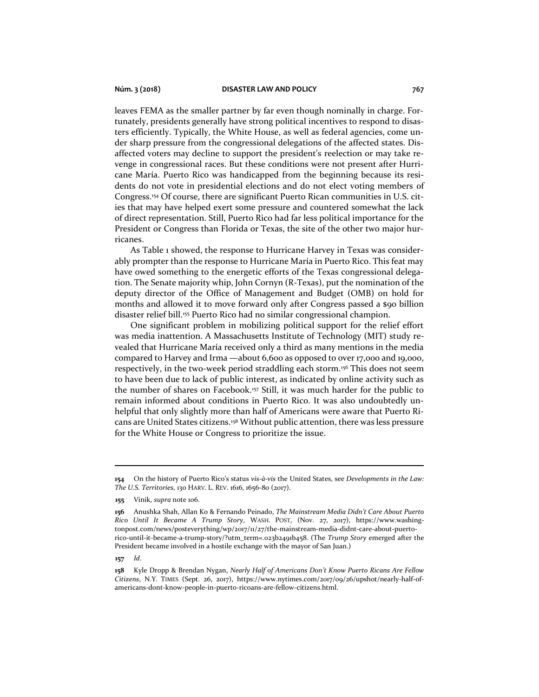leaves FEMA as the smaller partner by far even though nominally in charge. Fortunately, presidents generally have strong political incentives to respond to disasters efficiently. Typically, the White House, as well as federal agencies, come under sharp pressure from the congressional delegations of the affected states. Disaffected voters may decline to support the president's reelection or may take revenge in congressional races. But these conditions were not present after Hurricane María. Puerto Rico was handicapped from the beginning because its residents do not vote in presidential elections and do not elect voting members of Congress.<sup>154</sup> Of course, there are significant Puerto Rican communities in U.S. cities that may have helped exert some pressure and countered somewhat the lack of direct representation. Still, Puerto Rico had far less political importance for the President or Congress than Florida or Texas, the site of the other two major hurricanes.

As Table 1 showed, the response to Hurricane Harvey in Texas was considerably prompter than the response to Hurricane María in Puerto Rico. This feat may have owed something to the energetic efforts of the Texas congressional delegation. The Senate majority whip, John Cornyn (R-Texas), put the nomination of the deputy director of the Office of Management and Budget (OMB) on hold for months and allowed it to move forward only after Congress passed a \$90 billion disaster relief bill.<sup>155</sup> Puerto Rico had no similar congressional champion.

One significant problem in mobilizing political support for the relief effort was media inattention. A Massachusetts Institute of Technology (MIT) study revealed that Hurricane María received only a third as many mentions in the media compared to Harvey and Irma —about 6,600 as opposed to over 17,000 and 19,000, respectively, in the two-week period straddling each storm.<sup>156</sup> This does not seem to have been due to lack of public interest, as indicated by online activity such as the number of shares on Facebook.<sup>157</sup> Still, it was much harder for the public to remain informed about conditions in Puerto Rico. It was also undoubtedly unhelpful that only slightly more than half of Americans were aware that Puerto Ricans are United States citizens.<sup>158</sup> Without public attention, there was less pressure for the White House or Congress to prioritize the issue.

**<sup>154</sup>** On the history of Puerto Rico's status *vis-à-vis* the United States, see *Developments in the Law: The U.S. Territories*, 130 HARV. L. REV. 1616, 1656-80 (2017).

**<sup>155</sup>** Vinik, *supra* note 106.

**<sup>156</sup>** Anushka Shah, Allan Ko & Fernando Peinado, *The Mainstream Media Didn't Care About Puerto Rico Until It Became A Trump Story*, WASH. POST, (Nov. 27, 2017), https://www.washingtonpost.com/news/posteverything/wp/2017/11/27/the-mainstream-media-didnt-care-about-puertorico-until-it-became-a-trump-story/?utm\_term=.023b2491b458. (The *Trump Story* emerged after the President became involved in a hostile exchange with the mayor of San Juan.)

**<sup>158</sup>** Kyle Dropp & Brendan Nygan, *Nearly Half of Americans Don't Know Puerto Ricans Are Fellow Citizens*, N.Y. TIMES (Sept. 26, 2017), https://www.nytimes.com/2017/09/26/upshot/nearly-half-ofamericans-dont-know-people-in-puerto-ricoans-are-fellow-citizens.html.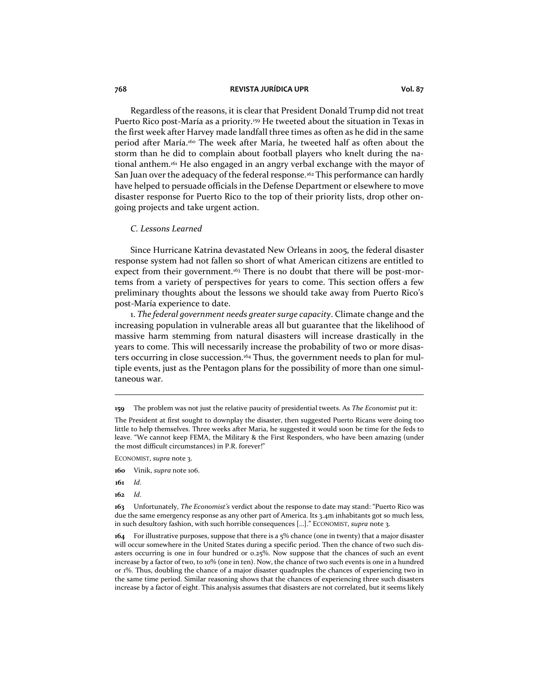Regardless of the reasons, it is clear that President Donald Trump did not treat Puerto Rico post-María as a priority.<sup>159</sup> He tweeted about the situation in Texas in the first week after Harvey made landfall three times as often as he did in the same period after María.<sup>160</sup> The week after María, he tweeted half as often about the storm than he did to complain about football players who knelt during the national anthem.<sup>161</sup> He also engaged in an angry verbal exchange with the mayor of San Juan over the adequacy of the federal response.<sup>162</sup> This performance can hardly have helped to persuade officials in the Defense Department or elsewhere to move disaster response for Puerto Rico to the top of their priority lists, drop other ongoing projects and take urgent action.

#### *C. Lessons Learned*

Since Hurricane Katrina devastated New Orleans in 2005, the federal disaster response system had not fallen so short of what American citizens are entitled to expect from their government.<sup>163</sup> There is no doubt that there will be post-mortems from a variety of perspectives for years to come. This section offers a few preliminary thoughts about the lessons we should take away from Puerto Rico's post-María experience to date.

1. *The federal government needs greater surge capacity*. Climate change and the increasing population in vulnerable areas all but guarantee that the likelihood of massive harm stemming from natural disasters will increase drastically in the years to come. This will necessarily increase the probability of two or more disasters occurring in close succession.<sup>164</sup> Thus, the government needs to plan for multiple events, just as the Pentagon plans for the possibility of more than one simultaneous war.

ECONOMIST, *supra* note 3.

- **161** *Id*.
- **162** *Id*.

**<sup>159</sup>** The problem was not just the relative paucity of presidential tweets. As *The Economist* put it:

The President at first sought to downplay the disaster, then suggested Puerto Ricans were doing too little to help themselves. Three weeks after Maria, he suggested it would soon be time for the feds to leave. "We cannot keep FEMA, the Military & the First Responders, who have been amazing (under the most difficult circumstances) in P.R. forever!"

**<sup>160</sup>** Vinik, *supra* note 106.

**<sup>163</sup>** Unfortunately, *The Economist's* verdict about the response to date may stand: "Puerto Rico was due the same emergency response as any other part of America. Its 3.4m inhabitants got so much less, in such desultory fashion, with such horrible consequences […]." ECONOMIST, *supra* note 3.

**<sup>164</sup>** For illustrative purposes, suppose that there is a 5% chance (one in twenty) that a major disaster will occur somewhere in the United States during a specific period. Then the chance of two such disasters occurring is one in four hundred or 0.25%. Now suppose that the chances of such an event increase by a factor of two, to 10% (one in ten). Now, the chance of two such events is one in a hundred or 1%. Thus, doubling the chance of a major disaster quadruples the chances of experiencing two in the same time period. Similar reasoning shows that the chances of experiencing three such disasters increase by a factor of eight. This analysis assumes that disasters are not correlated, but it seems likely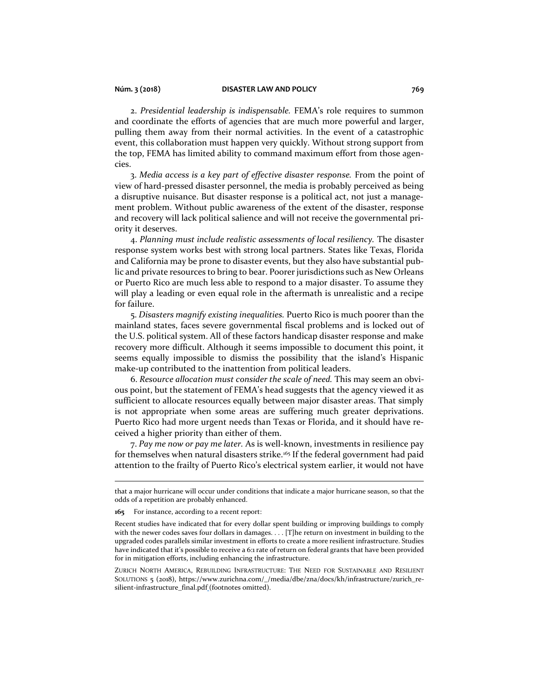#### **Núm. 3 (2018) DISASTER LAW AND POLICY 769**

2. *Presidential leadership is indispensable.* FEMA's role requires to summon and coordinate the efforts of agencies that are much more powerful and larger, pulling them away from their normal activities. In the event of a catastrophic event, this collaboration must happen very quickly. Without strong support from the top, FEMA has limited ability to command maximum effort from those agencies.

3. *Media access is a key part of effective disaster response.* From the point of view of hard-pressed disaster personnel, the media is probably perceived as being a disruptive nuisance. But disaster response is a political act, not just a management problem. Without public awareness of the extent of the disaster, response and recovery will lack political salience and will not receive the governmental priority it deserves.

4. *Planning must include realistic assessments of local resiliency.* The disaster response system works best with strong local partners. States like Texas, Florida and California may be prone to disaster events, but they also have substantial public and private resources to bring to bear. Poorer jurisdictions such as New Orleans or Puerto Rico are much less able to respond to a major disaster. To assume they will play a leading or even equal role in the aftermath is unrealistic and a recipe for failure.

5. *Disasters magnify existing inequalities.* Puerto Rico is much poorer than the mainland states, faces severe governmental fiscal problems and is locked out of the U.S. political system. All of these factors handicap disaster response and make recovery more difficult. Although it seems impossible to document this point, it seems equally impossible to dismiss the possibility that the island's Hispanic make-up contributed to the inattention from political leaders.

6. *Resource allocation must consider the scale of need.* This may seem an obvious point, but the statement of FEMA's head suggests that the agency viewed it as sufficient to allocate resources equally between major disaster areas. That simply is not appropriate when some areas are suffering much greater deprivations. Puerto Rico had more urgent needs than Texas or Florida, and it should have received a higher priority than either of them.

7. *Pay me now or pay me later.* As is well-known, investments in resilience pay for themselves when natural disasters strike.<sup>165</sup> If the federal government had paid attention to the frailty of Puerto Rico's electrical system earlier, it would not have

ZURICH NORTH AMERICA, REBUILDING INFRASTRUCTURE: THE NEED FOR SUSTAINABLE AND RESILIENT SOLUTIONS 5 (2018), https://www.zurichna.com/\_/media/dbe/zna/docs/kh/infrastructure/zurich\_resilient-infrastructure\_final.pdf (footnotes omitted).

that a major hurricane will occur under conditions that indicate a major hurricane season, so that the odds of a repetition are probably enhanced.

**<sup>165</sup>** For instance, according to a recent report:

Recent studies have indicated that for every dollar spent building or improving buildings to comply with the newer codes saves four dollars in damages. . . . [T]he return on investment in building to the upgraded codes parallels similar investment in efforts to create a more resilient infrastructure. Studies have indicated that it's possible to receive a 6:1 rate of return on federal grants that have been provided for in mitigation efforts, including enhancing the infrastructure.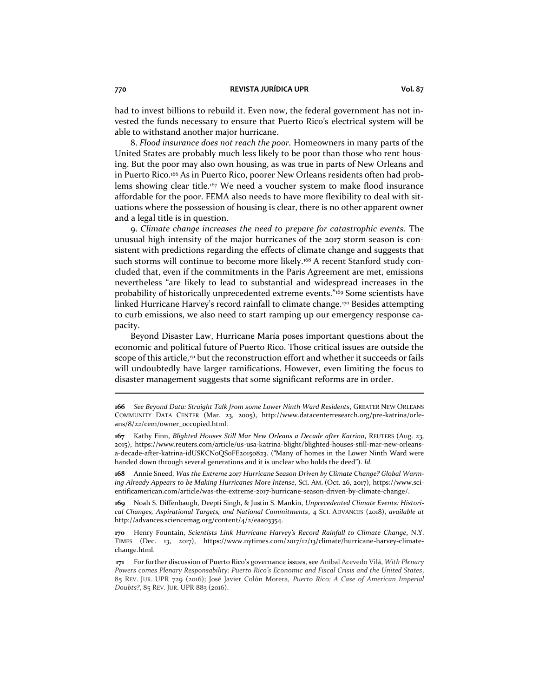had to invest billions to rebuild it. Even now, the federal government has not invested the funds necessary to ensure that Puerto Rico's electrical system will be able to withstand another major hurricane.

8. *Flood insurance does not reach the poor.* Homeowners in many parts of the United States are probably much less likely to be poor than those who rent housing. But the poor may also own housing, as was true in parts of New Orleans and in Puerto Rico.<sup>166</sup> As in Puerto Rico, poorer New Orleans residents often had problems showing clear title.<sup>167</sup> We need a voucher system to make flood insurance affordable for the poor. FEMA also needs to have more flexibility to deal with situations where the possession of housing is clear, there is no other apparent owner and a legal title is in question.

9. *Climate change increases the need to prepare for catastrophic events.* The unusual high intensity of the major hurricanes of the 2017 storm season is consistent with predictions regarding the effects of climate change and suggests that such storms will continue to become more likely.<sup>168</sup> A recent Stanford study concluded that, even if the commitments in the Paris Agreement are met, emissions nevertheless "are likely to lead to substantial and widespread increases in the probability of historically unprecedented extreme events."<sup>169</sup> Some scientists have linked Hurricane Harvey's record rainfall to climate change.<sup>170</sup> Besides attempting to curb emissions, we also need to start ramping up our emergency response capacity.

Beyond Disaster Law, Hurricane María poses important questions about the economic and political future of Puerto Rico. Those critical issues are outside the scope of this article,<sup>171</sup> but the reconstruction effort and whether it succeeds or fails will undoubtedly have larger ramifications. However, even limiting the focus to disaster management suggests that some significant reforms are in order.

**168** Annie Sneed, *Was the Extreme 2017 Hurricane Season Driven by Climate Change? Global Warming Already Appears to be Making Hurricanes More Intense*, SCI. AM. (Oct. 26, 2017), https://www.scientificamerican.com/article/was-the-extreme-2017-hurricane-season-driven-by-climate-change/.

**169** Noah S. Diffenbaugh, Deepti Singh, & Justin S. Mankin, *Unprecedented Climate Events: Historical Changes, Aspirational Targets, and National Commitments*, 4 SCI. ADVANCES (2018), *available at*  http://advances.sciencemag.org/content/4/2/eaao3354.

**170** Henry Fountain, *Scientists Link Hurricane Harvey's Record Rainfall to Climate Change*, N.Y. TIMES (Dec. 13, 2017), https://www.nytimes.com/2017/12/13/climate/hurricane-harvey-climatechange.html.

**<sup>166</sup>** *See Beyond Data: Straight Talk from some Lower Ninth Ward Residents*, GREATER NEW ORLEANS COMMUNITY DATA CENTER (Mar. 23, 2005), http://www.datacenterresearch.org/pre-katrina/orleans/8/22/cem/owner\_occupied.html.

**<sup>167</sup>** Kathy Finn, *Blighted Houses Still Mar New Orleans a Decade after Katrina*, REUTERS (Aug. 23, 2015), https://www.reuters.com/article/us-usa-katrina-blight/blighted-houses-still-mar-new-orleansa-decade-after-katrina-idUSKCN0QS0FE20150823. ("Many of homes in the Lower Ninth Ward were handed down through several generations and it is unclear who holds the deed"). *Id.*

**<sup>171</sup>** For further discussion of Puerto Rico's governance issues, see Aníbal Acevedo Vilá, *With Plenary Powers comes Plenary Responsability: Puerto Rico's Economic and Fiscal Crisis and the United States*, 85 REV. JUR. UPR 729 (2016); José Javier Colón Morera, *Puerto Rico: A Case of American Imperial Doubts?*, 85 REV. JUR. UPR 883 (2016).